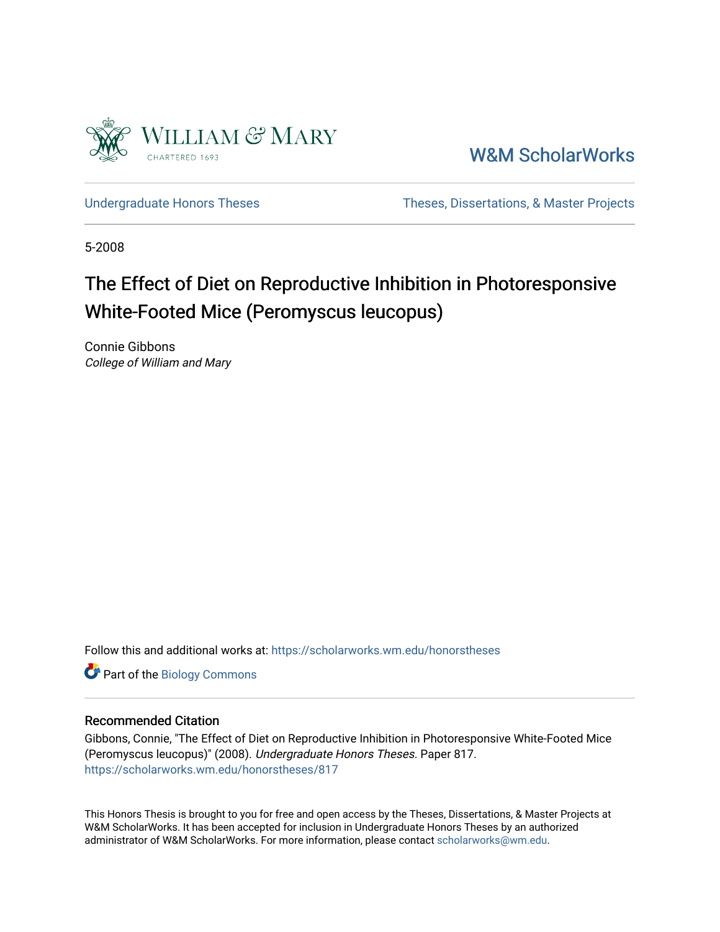

[W&M ScholarWorks](https://scholarworks.wm.edu/) 

[Undergraduate Honors Theses](https://scholarworks.wm.edu/honorstheses) Theses Theses, Dissertations, & Master Projects

5-2008

# The Effect of Diet on Reproductive Inhibition in Photoresponsive White-Footed Mice (Peromyscus leucopus)

Connie Gibbons College of William and Mary

Follow this and additional works at: [https://scholarworks.wm.edu/honorstheses](https://scholarworks.wm.edu/honorstheses?utm_source=scholarworks.wm.edu%2Fhonorstheses%2F817&utm_medium=PDF&utm_campaign=PDFCoverPages) 

Part of the [Biology Commons](http://network.bepress.com/hgg/discipline/41?utm_source=scholarworks.wm.edu%2Fhonorstheses%2F817&utm_medium=PDF&utm_campaign=PDFCoverPages) 

### Recommended Citation

Gibbons, Connie, "The Effect of Diet on Reproductive Inhibition in Photoresponsive White-Footed Mice (Peromyscus leucopus)" (2008). Undergraduate Honors Theses. Paper 817. [https://scholarworks.wm.edu/honorstheses/817](https://scholarworks.wm.edu/honorstheses/817?utm_source=scholarworks.wm.edu%2Fhonorstheses%2F817&utm_medium=PDF&utm_campaign=PDFCoverPages) 

This Honors Thesis is brought to you for free and open access by the Theses, Dissertations, & Master Projects at W&M ScholarWorks. It has been accepted for inclusion in Undergraduate Honors Theses by an authorized administrator of W&M ScholarWorks. For more information, please contact [scholarworks@wm.edu.](mailto:scholarworks@wm.edu)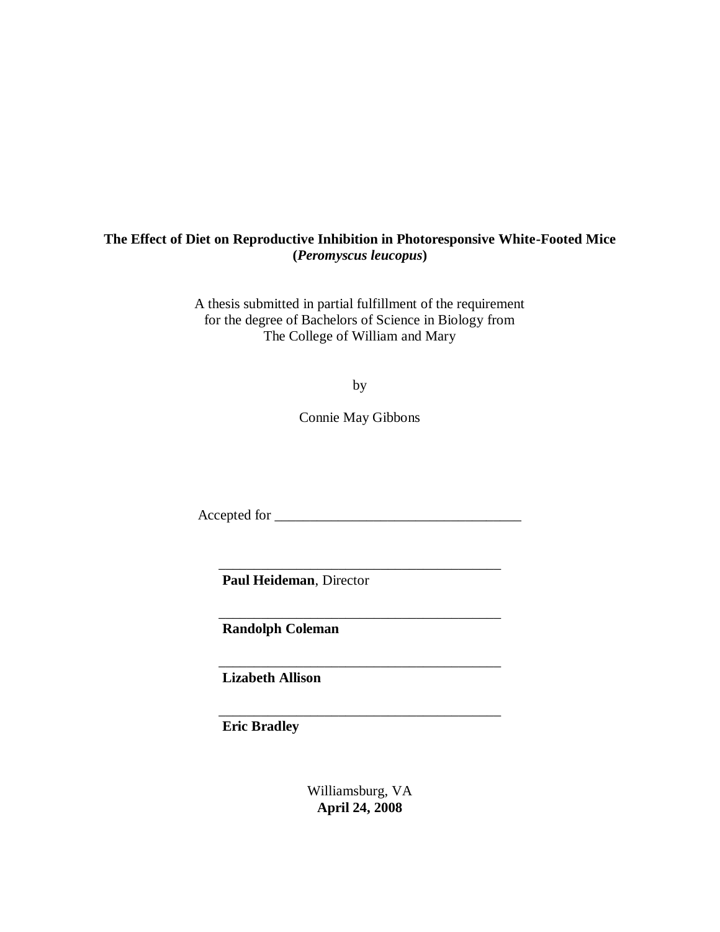## **The Effect of Diet on Reproductive Inhibition in Photoresponsive White-Footed Mice (***Peromyscus leucopus***)**

A thesis submitted in partial fulfillment of the requirement for the degree of Bachelors of Science in Biology from The College of William and Mary

by

Connie May Gibbons

Accepted for \_\_\_\_\_\_\_\_\_\_\_\_\_\_\_\_\_\_\_\_\_\_\_\_\_\_\_\_\_\_\_\_\_\_\_

\_\_\_\_\_\_\_\_\_\_\_\_\_\_\_\_\_\_\_\_\_\_\_\_\_\_\_\_\_\_\_\_\_\_\_\_\_\_\_\_

\_\_\_\_\_\_\_\_\_\_\_\_\_\_\_\_\_\_\_\_\_\_\_\_\_\_\_\_\_\_\_\_\_\_\_\_\_\_\_\_

\_\_\_\_\_\_\_\_\_\_\_\_\_\_\_\_\_\_\_\_\_\_\_\_\_\_\_\_\_\_\_\_\_\_\_\_\_\_\_\_

\_\_\_\_\_\_\_\_\_\_\_\_\_\_\_\_\_\_\_\_\_\_\_\_\_\_\_\_\_\_\_\_\_\_\_\_\_\_\_\_

 **Paul Heideman**, Director

**Randolph Coleman**

 **Lizabeth Allison**

 **Eric Bradley**

Williamsburg, VA **April 24, 2008**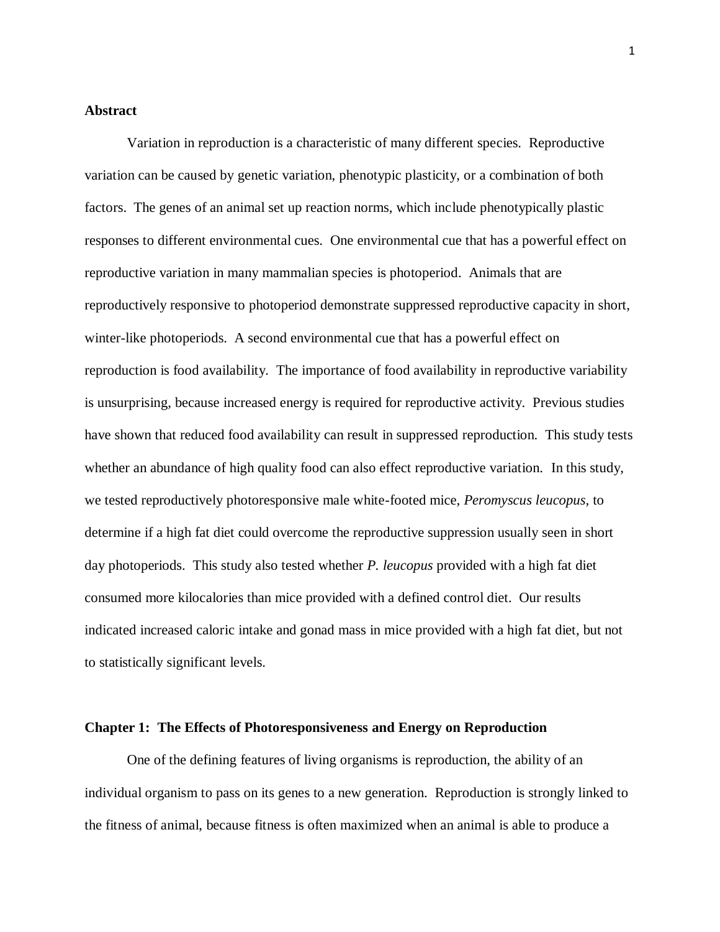## **Abstract**

Variation in reproduction is a characteristic of many different species. Reproductive variation can be caused by genetic variation, phenotypic plasticity, or a combination of both factors. The genes of an animal set up reaction norms, which include phenotypically plastic responses to different environmental cues. One environmental cue that has a powerful effect on reproductive variation in many mammalian species is photoperiod. Animals that are reproductively responsive to photoperiod demonstrate suppressed reproductive capacity in short, winter-like photoperiods. A second environmental cue that has a powerful effect on reproduction is food availability. The importance of food availability in reproductive variability is unsurprising, because increased energy is required for reproductive activity. Previous studies have shown that reduced food availability can result in suppressed reproduction. This study tests whether an abundance of high quality food can also effect reproductive variation. In this study, we tested reproductively photoresponsive male white-footed mice, *Peromyscus leucopus*, to determine if a high fat diet could overcome the reproductive suppression usually seen in short day photoperiods. This study also tested whether *P. leucopus* provided with a high fat diet consumed more kilocalories than mice provided with a defined control diet. Our results indicated increased caloric intake and gonad mass in mice provided with a high fat diet, but not to statistically significant levels.

#### **Chapter 1: The Effects of Photoresponsiveness and Energy on Reproduction**

One of the defining features of living organisms is reproduction, the ability of an individual organism to pass on its genes to a new generation. Reproduction is strongly linked to the fitness of animal, because fitness is often maximized when an animal is able to produce a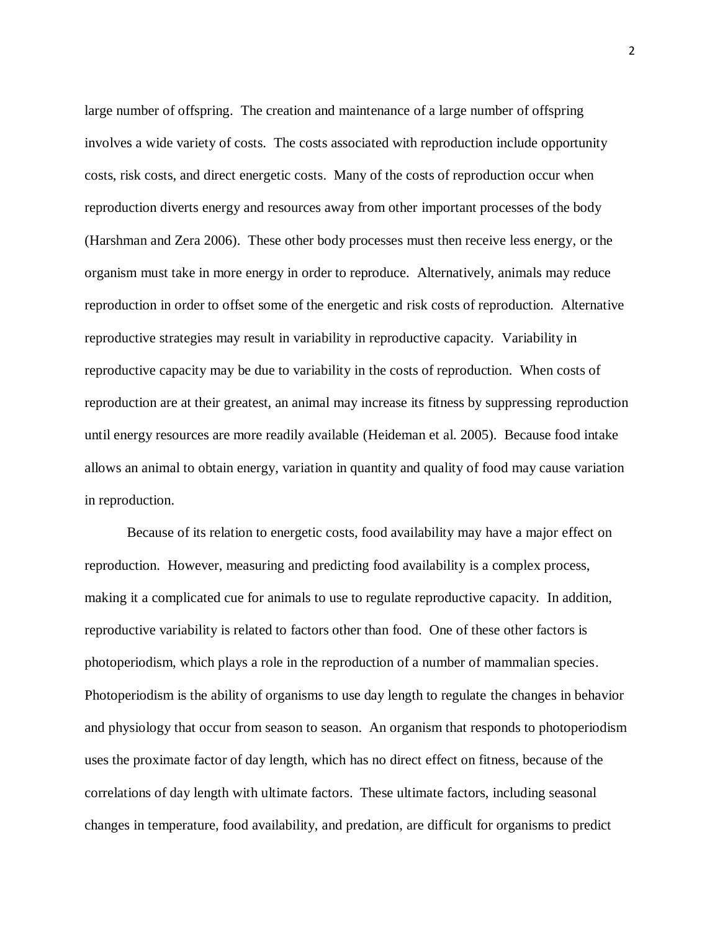large number of offspring. The creation and maintenance of a large number of offspring involves a wide variety of costs. The costs associated with reproduction include opportunity costs, risk costs, and direct energetic costs. Many of the costs of reproduction occur when reproduction diverts energy and resources away from other important processes of the body (Harshman and Zera 2006). These other body processes must then receive less energy, or the organism must take in more energy in order to reproduce. Alternatively, animals may reduce reproduction in order to offset some of the energetic and risk costs of reproduction. Alternative reproductive strategies may result in variability in reproductive capacity. Variability in reproductive capacity may be due to variability in the costs of reproduction. When costs of reproduction are at their greatest, an animal may increase its fitness by suppressing reproduction until energy resources are more readily available (Heideman et al. 2005). Because food intake allows an animal to obtain energy, variation in quantity and quality of food may cause variation in reproduction.

Because of its relation to energetic costs, food availability may have a major effect on reproduction. However, measuring and predicting food availability is a complex process, making it a complicated cue for animals to use to regulate reproductive capacity. In addition, reproductive variability is related to factors other than food. One of these other factors is photoperiodism, which plays a role in the reproduction of a number of mammalian species. Photoperiodism is the ability of organisms to use day length to regulate the changes in behavior and physiology that occur from season to season. An organism that responds to photoperiodism uses the proximate factor of day length, which has no direct effect on fitness, because of the correlations of day length with ultimate factors. These ultimate factors, including seasonal changes in temperature, food availability, and predation, are difficult for organisms to predict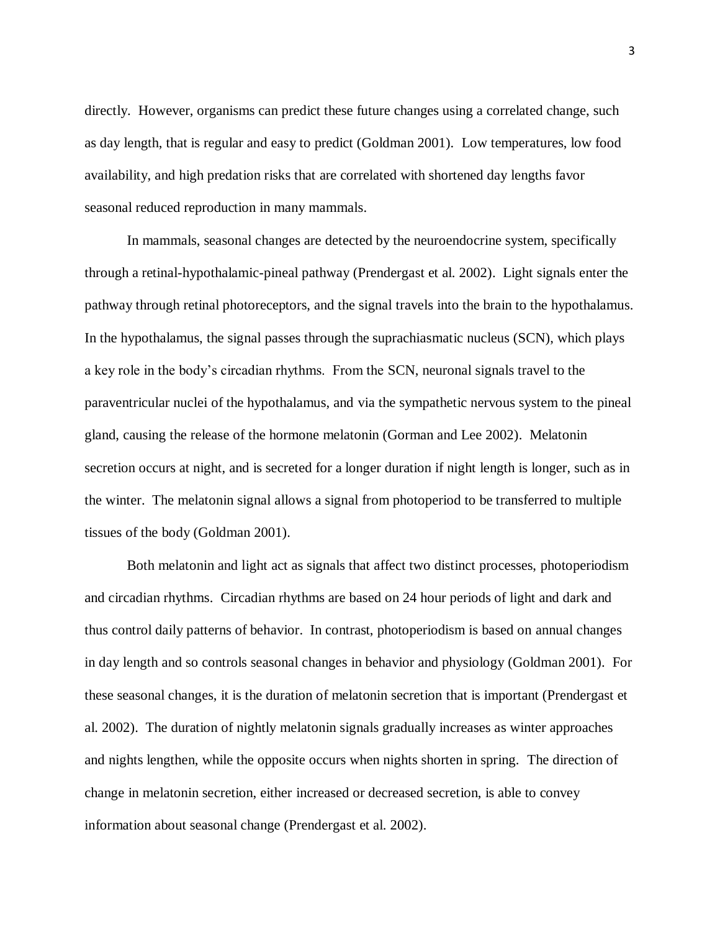directly. However, organisms can predict these future changes using a correlated change, such as day length, that is regular and easy to predict (Goldman 2001). Low temperatures, low food availability, and high predation risks that are correlated with shortened day lengths favor seasonal reduced reproduction in many mammals.

In mammals, seasonal changes are detected by the neuroendocrine system, specifically through a retinal-hypothalamic-pineal pathway (Prendergast et al. 2002). Light signals enter the pathway through retinal photoreceptors, and the signal travels into the brain to the hypothalamus. In the hypothalamus, the signal passes through the suprachiasmatic nucleus (SCN), which plays a key role in the body's circadian rhythms. From the SCN, neuronal signals travel to the paraventricular nuclei of the hypothalamus, and via the sympathetic nervous system to the pineal gland, causing the release of the hormone melatonin (Gorman and Lee 2002). Melatonin secretion occurs at night, and is secreted for a longer duration if night length is longer, such as in the winter. The melatonin signal allows a signal from photoperiod to be transferred to multiple tissues of the body (Goldman 2001).

Both melatonin and light act as signals that affect two distinct processes, photoperiodism and circadian rhythms. Circadian rhythms are based on 24 hour periods of light and dark and thus control daily patterns of behavior. In contrast, photoperiodism is based on annual changes in day length and so controls seasonal changes in behavior and physiology (Goldman 2001). For these seasonal changes, it is the duration of melatonin secretion that is important (Prendergast et al. 2002). The duration of nightly melatonin signals gradually increases as winter approaches and nights lengthen, while the opposite occurs when nights shorten in spring. The direction of change in melatonin secretion, either increased or decreased secretion, is able to convey information about seasonal change (Prendergast et al. 2002).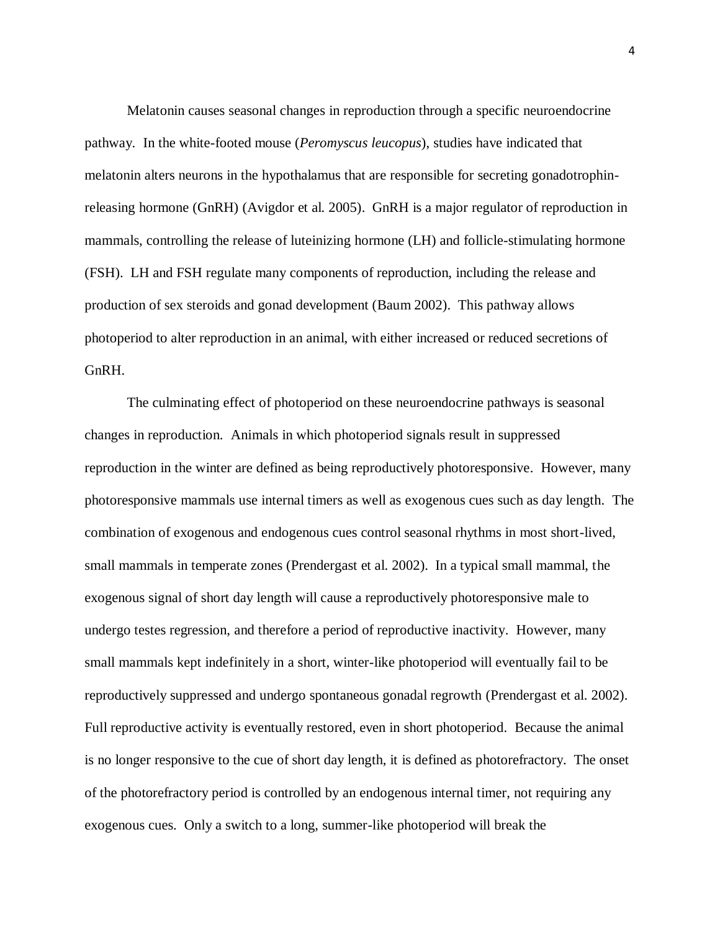Melatonin causes seasonal changes in reproduction through a specific neuroendocrine pathway. In the white-footed mouse (*Peromyscus leucopus*), studies have indicated that melatonin alters neurons in the hypothalamus that are responsible for secreting gonadotrophinreleasing hormone (GnRH) (Avigdor et al. 2005). GnRH is a major regulator of reproduction in mammals, controlling the release of luteinizing hormone (LH) and follicle-stimulating hormone (FSH). LH and FSH regulate many components of reproduction, including the release and production of sex steroids and gonad development (Baum 2002). This pathway allows photoperiod to alter reproduction in an animal, with either increased or reduced secretions of GnRH.

The culminating effect of photoperiod on these neuroendocrine pathways is seasonal changes in reproduction. Animals in which photoperiod signals result in suppressed reproduction in the winter are defined as being reproductively photoresponsive. However, many photoresponsive mammals use internal timers as well as exogenous cues such as day length. The combination of exogenous and endogenous cues control seasonal rhythms in most short-lived, small mammals in temperate zones (Prendergast et al. 2002). In a typical small mammal, the exogenous signal of short day length will cause a reproductively photoresponsive male to undergo testes regression, and therefore a period of reproductive inactivity. However, many small mammals kept indefinitely in a short, winter-like photoperiod will eventually fail to be reproductively suppressed and undergo spontaneous gonadal regrowth (Prendergast et al. 2002). Full reproductive activity is eventually restored, even in short photoperiod. Because the animal is no longer responsive to the cue of short day length, it is defined as photorefractory. The onset of the photorefractory period is controlled by an endogenous internal timer, not requiring any exogenous cues. Only a switch to a long, summer-like photoperiod will break the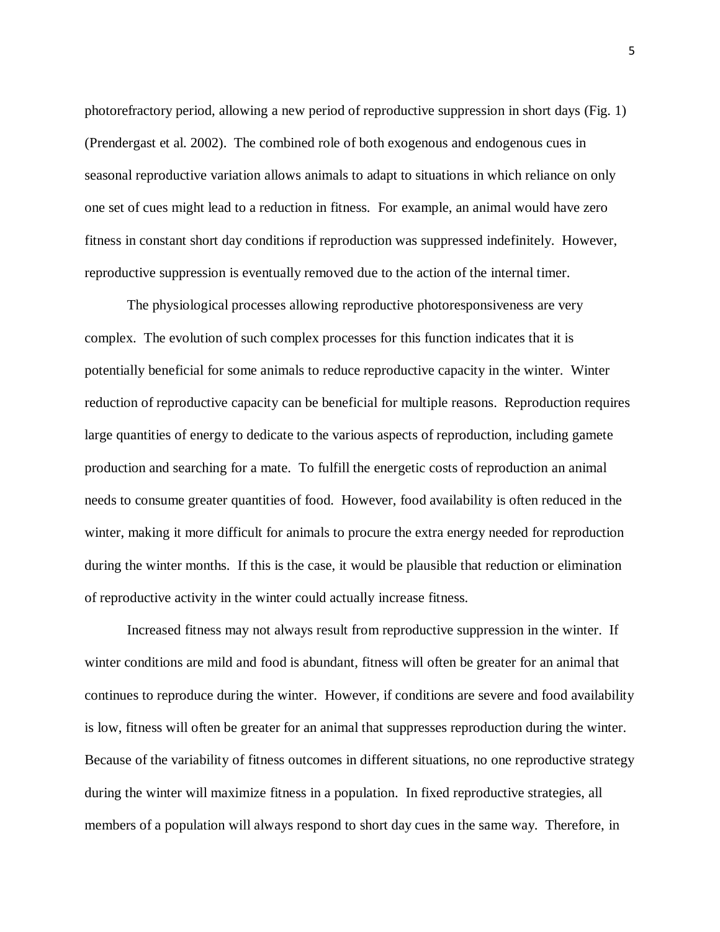photorefractory period, allowing a new period of reproductive suppression in short days (Fig. 1) (Prendergast et al. 2002). The combined role of both exogenous and endogenous cues in seasonal reproductive variation allows animals to adapt to situations in which reliance on only one set of cues might lead to a reduction in fitness. For example, an animal would have zero fitness in constant short day conditions if reproduction was suppressed indefinitely. However, reproductive suppression is eventually removed due to the action of the internal timer.

The physiological processes allowing reproductive photoresponsiveness are very complex. The evolution of such complex processes for this function indicates that it is potentially beneficial for some animals to reduce reproductive capacity in the winter. Winter reduction of reproductive capacity can be beneficial for multiple reasons. Reproduction requires large quantities of energy to dedicate to the various aspects of reproduction, including gamete production and searching for a mate. To fulfill the energetic costs of reproduction an animal needs to consume greater quantities of food. However, food availability is often reduced in the winter, making it more difficult for animals to procure the extra energy needed for reproduction during the winter months. If this is the case, it would be plausible that reduction or elimination of reproductive activity in the winter could actually increase fitness.

Increased fitness may not always result from reproductive suppression in the winter. If winter conditions are mild and food is abundant, fitness will often be greater for an animal that continues to reproduce during the winter. However, if conditions are severe and food availability is low, fitness will often be greater for an animal that suppresses reproduction during the winter. Because of the variability of fitness outcomes in different situations, no one reproductive strategy during the winter will maximize fitness in a population. In fixed reproductive strategies, all members of a population will always respond to short day cues in the same way. Therefore, in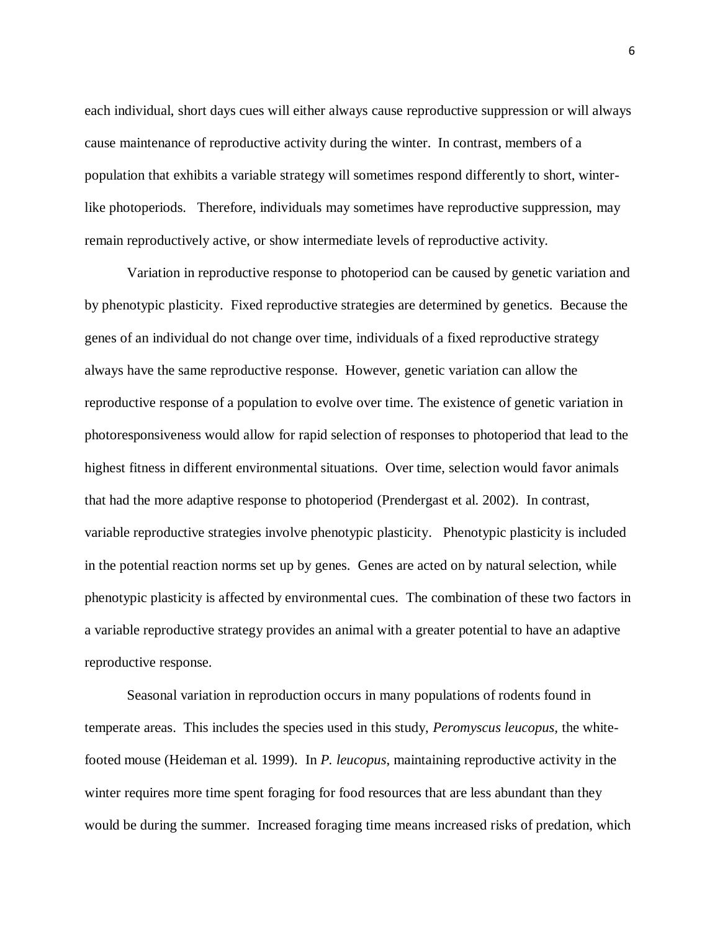each individual, short days cues will either always cause reproductive suppression or will always cause maintenance of reproductive activity during the winter. In contrast, members of a population that exhibits a variable strategy will sometimes respond differently to short, winterlike photoperiods. Therefore, individuals may sometimes have reproductive suppression, may remain reproductively active, or show intermediate levels of reproductive activity.

Variation in reproductive response to photoperiod can be caused by genetic variation and by phenotypic plasticity. Fixed reproductive strategies are determined by genetics. Because the genes of an individual do not change over time, individuals of a fixed reproductive strategy always have the same reproductive response. However, genetic variation can allow the reproductive response of a population to evolve over time. The existence of genetic variation in photoresponsiveness would allow for rapid selection of responses to photoperiod that lead to the highest fitness in different environmental situations. Over time, selection would favor animals that had the more adaptive response to photoperiod (Prendergast et al. 2002). In contrast, variable reproductive strategies involve phenotypic plasticity. Phenotypic plasticity is included in the potential reaction norms set up by genes. Genes are acted on by natural selection, while phenotypic plasticity is affected by environmental cues. The combination of these two factors in a variable reproductive strategy provides an animal with a greater potential to have an adaptive reproductive response.

Seasonal variation in reproduction occurs in many populations of rodents found in temperate areas. This includes the species used in this study, *Peromyscus leucopus,* the whitefooted mouse (Heideman et al. 1999). In *P. leucopus*, maintaining reproductive activity in the winter requires more time spent foraging for food resources that are less abundant than they would be during the summer. Increased foraging time means increased risks of predation, which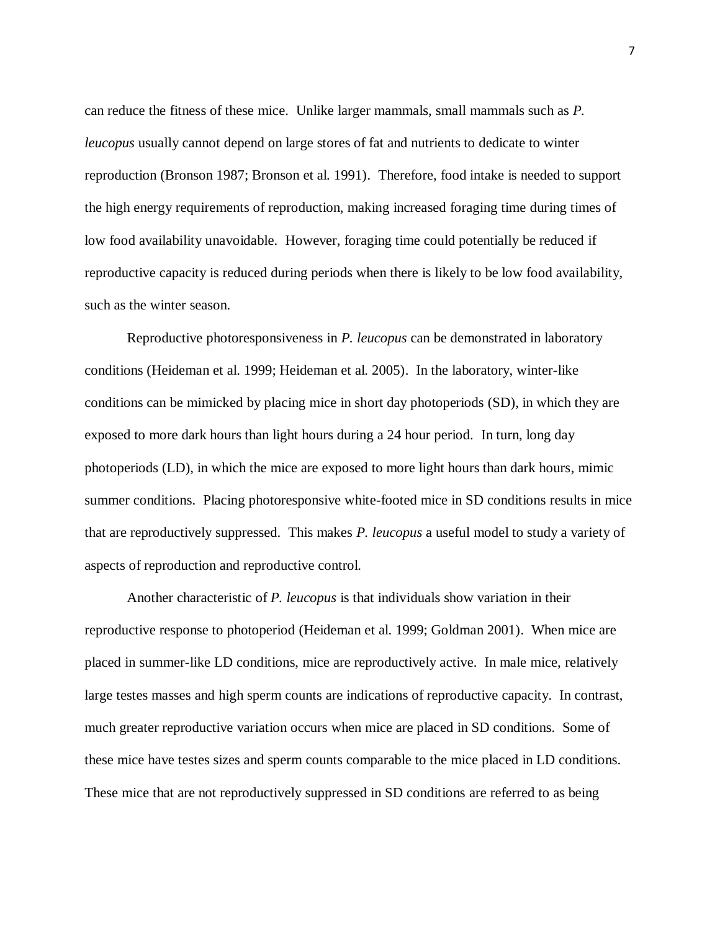can reduce the fitness of these mice. Unlike larger mammals, small mammals such as *P. leucopus* usually cannot depend on large stores of fat and nutrients to dedicate to winter reproduction (Bronson 1987; Bronson et al. 1991). Therefore, food intake is needed to support the high energy requirements of reproduction, making increased foraging time during times of low food availability unavoidable. However, foraging time could potentially be reduced if reproductive capacity is reduced during periods when there is likely to be low food availability, such as the winter season.

Reproductive photoresponsiveness in *P. leucopus* can be demonstrated in laboratory conditions (Heideman et al. 1999; Heideman et al. 2005). In the laboratory, winter-like conditions can be mimicked by placing mice in short day photoperiods (SD), in which they are exposed to more dark hours than light hours during a 24 hour period. In turn, long day photoperiods (LD), in which the mice are exposed to more light hours than dark hours, mimic summer conditions. Placing photoresponsive white-footed mice in SD conditions results in mice that are reproductively suppressed. This makes *P. leucopus* a useful model to study a variety of aspects of reproduction and reproductive control.

Another characteristic of *P. leucopus* is that individuals show variation in their reproductive response to photoperiod (Heideman et al. 1999; Goldman 2001). When mice are placed in summer-like LD conditions, mice are reproductively active. In male mice, relatively large testes masses and high sperm counts are indications of reproductive capacity. In contrast, much greater reproductive variation occurs when mice are placed in SD conditions. Some of these mice have testes sizes and sperm counts comparable to the mice placed in LD conditions. These mice that are not reproductively suppressed in SD conditions are referred to as being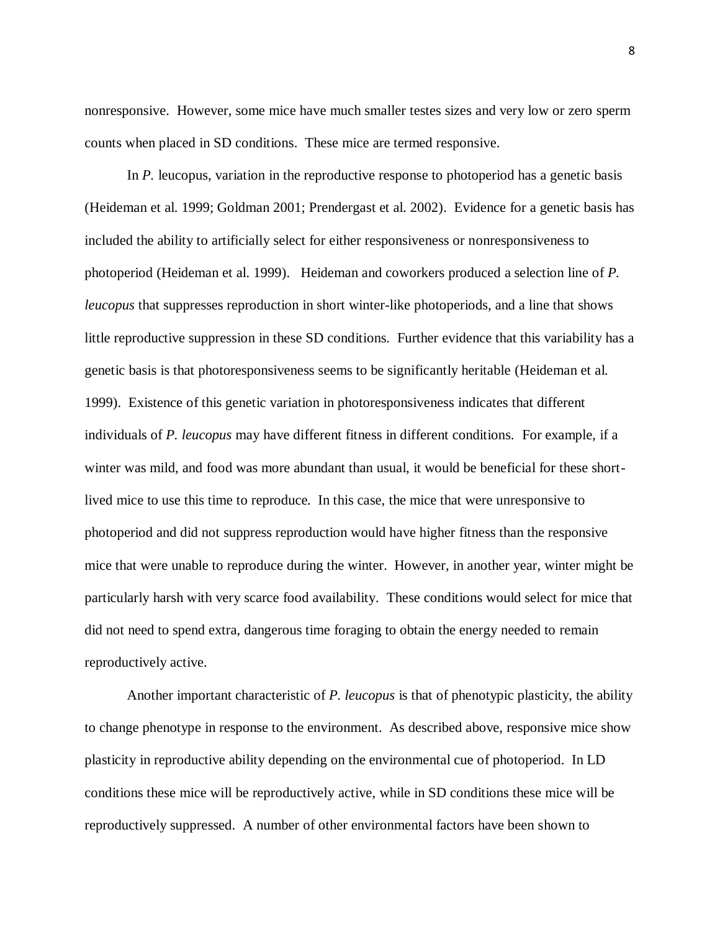nonresponsive. However, some mice have much smaller testes sizes and very low or zero sperm counts when placed in SD conditions. These mice are termed responsive.

In *P.* leucopus, variation in the reproductive response to photoperiod has a genetic basis (Heideman et al. 1999; Goldman 2001; Prendergast et al. 2002). Evidence for a genetic basis has included the ability to artificially select for either responsiveness or nonresponsiveness to photoperiod (Heideman et al. 1999). Heideman and coworkers produced a selection line of *P. leucopus* that suppresses reproduction in short winter-like photoperiods, and a line that shows little reproductive suppression in these SD conditions. Further evidence that this variability has a genetic basis is that photoresponsiveness seems to be significantly heritable (Heideman et al. 1999). Existence of this genetic variation in photoresponsiveness indicates that different individuals of *P. leucopus* may have different fitness in different conditions. For example, if a winter was mild, and food was more abundant than usual, it would be beneficial for these shortlived mice to use this time to reproduce. In this case, the mice that were unresponsive to photoperiod and did not suppress reproduction would have higher fitness than the responsive mice that were unable to reproduce during the winter. However, in another year, winter might be particularly harsh with very scarce food availability. These conditions would select for mice that did not need to spend extra, dangerous time foraging to obtain the energy needed to remain reproductively active.

Another important characteristic of *P. leucopus* is that of phenotypic plasticity, the ability to change phenotype in response to the environment. As described above, responsive mice show plasticity in reproductive ability depending on the environmental cue of photoperiod. In LD conditions these mice will be reproductively active, while in SD conditions these mice will be reproductively suppressed. A number of other environmental factors have been shown to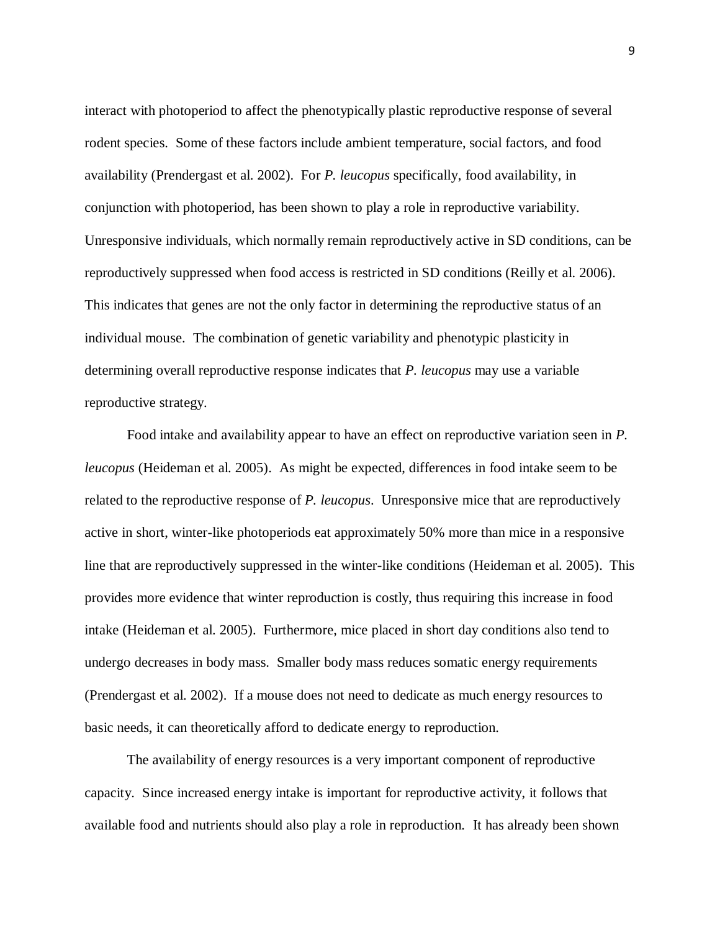interact with photoperiod to affect the phenotypically plastic reproductive response of several rodent species. Some of these factors include ambient temperature, social factors, and food availability (Prendergast et al. 2002). For *P. leucopus* specifically, food availability, in conjunction with photoperiod, has been shown to play a role in reproductive variability. Unresponsive individuals, which normally remain reproductively active in SD conditions, can be reproductively suppressed when food access is restricted in SD conditions (Reilly et al. 2006). This indicates that genes are not the only factor in determining the reproductive status of an individual mouse. The combination of genetic variability and phenotypic plasticity in determining overall reproductive response indicates that *P. leucopus* may use a variable reproductive strategy.

Food intake and availability appear to have an effect on reproductive variation seen in *P. leucopus* (Heideman et al. 2005). As might be expected, differences in food intake seem to be related to the reproductive response of *P. leucopus*. Unresponsive mice that are reproductively active in short, winter-like photoperiods eat approximately 50% more than mice in a responsive line that are reproductively suppressed in the winter-like conditions (Heideman et al. 2005). This provides more evidence that winter reproduction is costly, thus requiring this increase in food intake (Heideman et al. 2005). Furthermore, mice placed in short day conditions also tend to undergo decreases in body mass. Smaller body mass reduces somatic energy requirements (Prendergast et al. 2002). If a mouse does not need to dedicate as much energy resources to basic needs, it can theoretically afford to dedicate energy to reproduction.

The availability of energy resources is a very important component of reproductive capacity. Since increased energy intake is important for reproductive activity, it follows that available food and nutrients should also play a role in reproduction. It has already been shown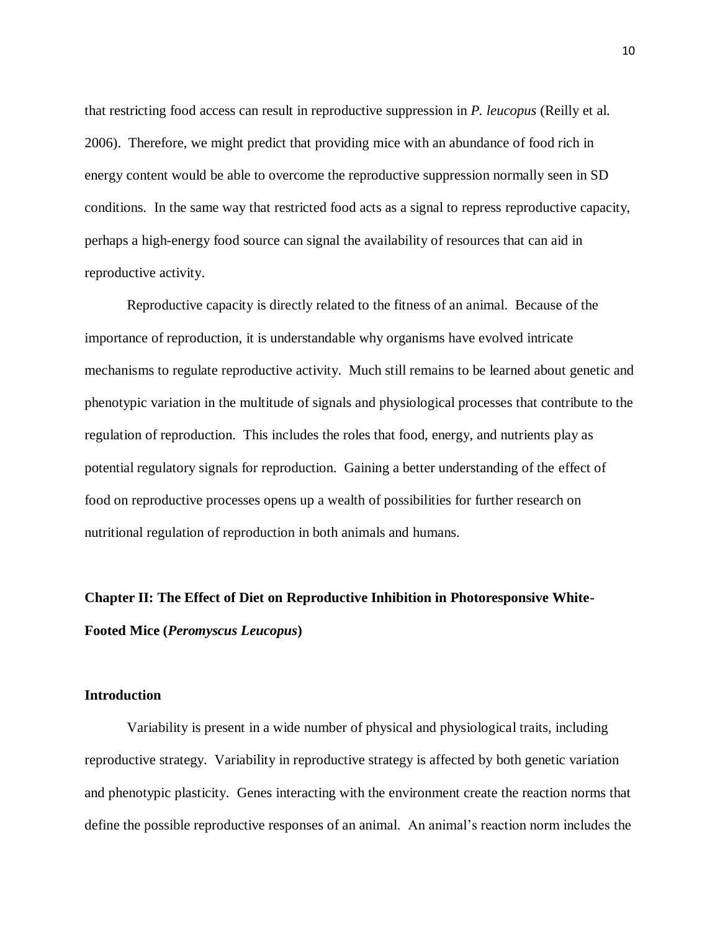that restricting food access can result in reproductive suppression in *P. leucopus* (Reilly et al. 2006). Therefore, we might predict that providing mice with an abundance of food rich in energy content would be able to overcome the reproductive suppression normally seen in SD conditions. In the same way that restricted food acts as a signal to repress reproductive capacity, perhaps a high-energy food source can signal the availability of resources that can aid in reproductive activity.

Reproductive capacity is directly related to the fitness of an animal. Because of the importance of reproduction, it is understandable why organisms have evolved intricate mechanisms to regulate reproductive activity. Much still remains to be learned about genetic and phenotypic variation in the multitude of signals and physiological processes that contribute to the regulation of reproduction. This includes the roles that food, energy, and nutrients play as potential regulatory signals for reproduction. Gaining a better understanding of the effect of food on reproductive processes opens up a wealth of possibilities for further research on nutritional regulation of reproduction in both animals and humans.

## **Chapter II: The Effect of Diet on Reproductive Inhibition in Photoresponsive White-Footed Mice (***Peromyscus Leucopus***)**

#### **Introduction**

Variability is present in a wide number of physical and physiological traits, including reproductive strategy. Variability in reproductive strategy is affected by both genetic variation and phenotypic plasticity. Genes interacting with the environment create the reaction norms that define the possible reproductive responses of an animal. An animal's reaction norm includes the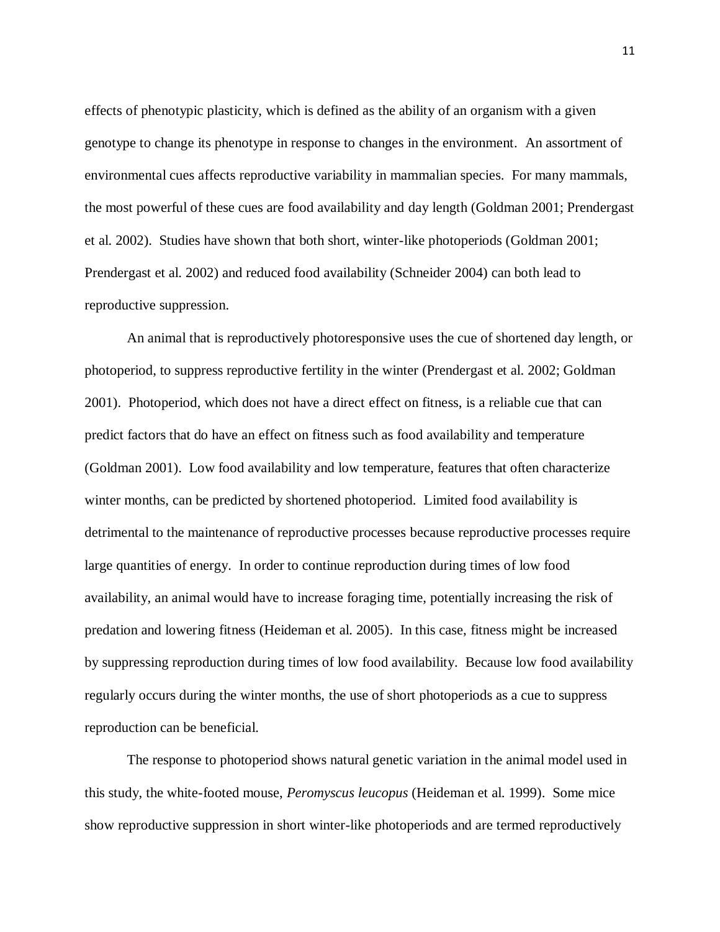effects of phenotypic plasticity, which is defined as the ability of an organism with a given genotype to change its phenotype in response to changes in the environment. An assortment of environmental cues affects reproductive variability in mammalian species. For many mammals, the most powerful of these cues are food availability and day length (Goldman 2001; Prendergast et al. 2002). Studies have shown that both short, winter-like photoperiods (Goldman 2001; Prendergast et al. 2002) and reduced food availability (Schneider 2004) can both lead to reproductive suppression.

An animal that is reproductively photoresponsive uses the cue of shortened day length, or photoperiod, to suppress reproductive fertility in the winter (Prendergast et al. 2002; Goldman 2001). Photoperiod, which does not have a direct effect on fitness, is a reliable cue that can predict factors that do have an effect on fitness such as food availability and temperature (Goldman 2001). Low food availability and low temperature, features that often characterize winter months, can be predicted by shortened photoperiod. Limited food availability is detrimental to the maintenance of reproductive processes because reproductive processes require large quantities of energy. In order to continue reproduction during times of low food availability, an animal would have to increase foraging time, potentially increasing the risk of predation and lowering fitness (Heideman et al. 2005). In this case, fitness might be increased by suppressing reproduction during times of low food availability. Because low food availability regularly occurs during the winter months, the use of short photoperiods as a cue to suppress reproduction can be beneficial.

The response to photoperiod shows natural genetic variation in the animal model used in this study, the white-footed mouse, *Peromyscus leucopus* (Heideman et al. 1999). Some mice show reproductive suppression in short winter-like photoperiods and are termed reproductively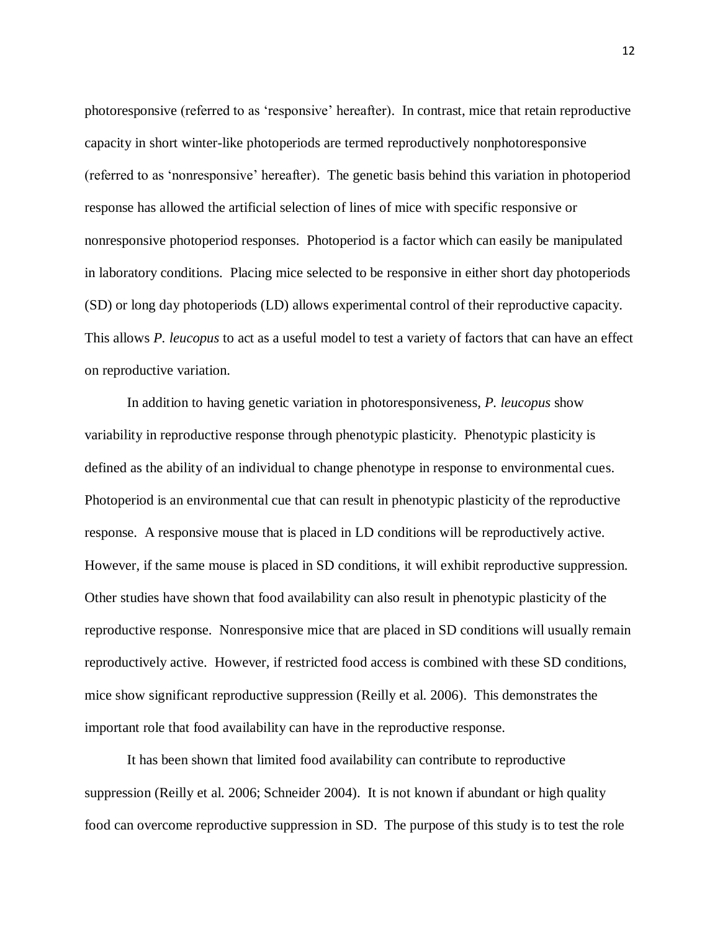photoresponsive (referred to as 'responsive' hereafter). In contrast, mice that retain reproductive capacity in short winter-like photoperiods are termed reproductively nonphotoresponsive (referred to as 'nonresponsive' hereafter). The genetic basis behind this variation in photoperiod response has allowed the artificial selection of lines of mice with specific responsive or nonresponsive photoperiod responses. Photoperiod is a factor which can easily be manipulated in laboratory conditions. Placing mice selected to be responsive in either short day photoperiods (SD) or long day photoperiods (LD) allows experimental control of their reproductive capacity. This allows *P. leucopus* to act as a useful model to test a variety of factors that can have an effect on reproductive variation.

In addition to having genetic variation in photoresponsiveness, *P. leucopus* show variability in reproductive response through phenotypic plasticity. Phenotypic plasticity is defined as the ability of an individual to change phenotype in response to environmental cues. Photoperiod is an environmental cue that can result in phenotypic plasticity of the reproductive response. A responsive mouse that is placed in LD conditions will be reproductively active. However, if the same mouse is placed in SD conditions, it will exhibit reproductive suppression. Other studies have shown that food availability can also result in phenotypic plasticity of the reproductive response. Nonresponsive mice that are placed in SD conditions will usually remain reproductively active. However, if restricted food access is combined with these SD conditions, mice show significant reproductive suppression (Reilly et al. 2006). This demonstrates the important role that food availability can have in the reproductive response.

It has been shown that limited food availability can contribute to reproductive suppression (Reilly et al. 2006; Schneider 2004). It is not known if abundant or high quality food can overcome reproductive suppression in SD. The purpose of this study is to test the role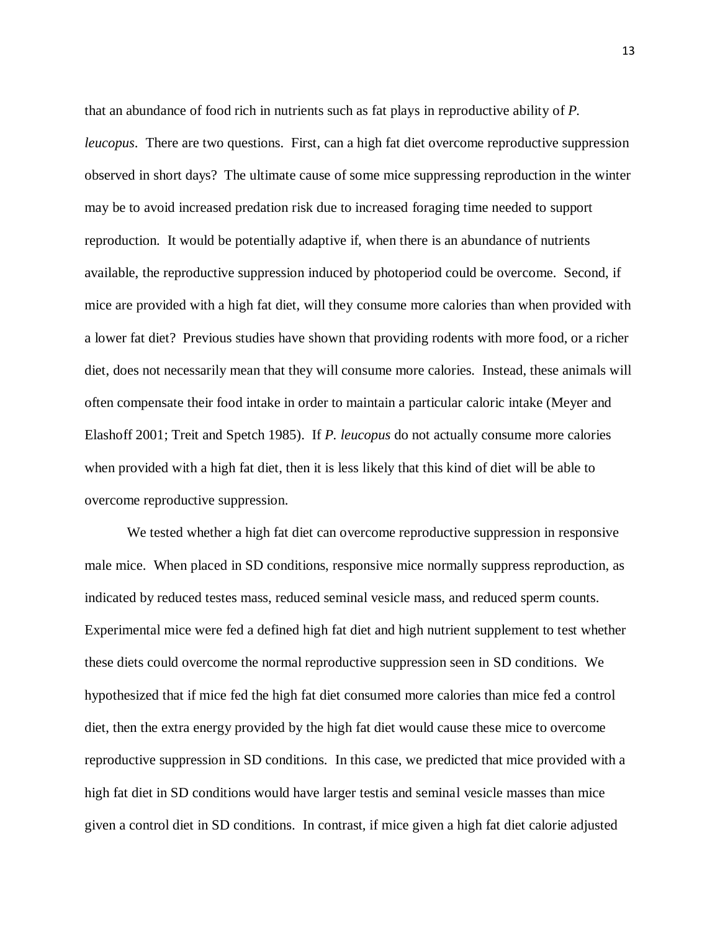that an abundance of food rich in nutrients such as fat plays in reproductive ability of *P. leucopus*. There are two questions. First, can a high fat diet overcome reproductive suppression observed in short days? The ultimate cause of some mice suppressing reproduction in the winter may be to avoid increased predation risk due to increased foraging time needed to support reproduction. It would be potentially adaptive if, when there is an abundance of nutrients available, the reproductive suppression induced by photoperiod could be overcome. Second, if mice are provided with a high fat diet, will they consume more calories than when provided with a lower fat diet? Previous studies have shown that providing rodents with more food, or a richer diet, does not necessarily mean that they will consume more calories. Instead, these animals will often compensate their food intake in order to maintain a particular caloric intake (Meyer and Elashoff 2001; Treit and Spetch 1985). If *P. leucopus* do not actually consume more calories when provided with a high fat diet, then it is less likely that this kind of diet will be able to overcome reproductive suppression.

We tested whether a high fat diet can overcome reproductive suppression in responsive male mice. When placed in SD conditions, responsive mice normally suppress reproduction, as indicated by reduced testes mass, reduced seminal vesicle mass, and reduced sperm counts. Experimental mice were fed a defined high fat diet and high nutrient supplement to test whether these diets could overcome the normal reproductive suppression seen in SD conditions. We hypothesized that if mice fed the high fat diet consumed more calories than mice fed a control diet, then the extra energy provided by the high fat diet would cause these mice to overcome reproductive suppression in SD conditions. In this case, we predicted that mice provided with a high fat diet in SD conditions would have larger testis and seminal vesicle masses than mice given a control diet in SD conditions. In contrast, if mice given a high fat diet calorie adjusted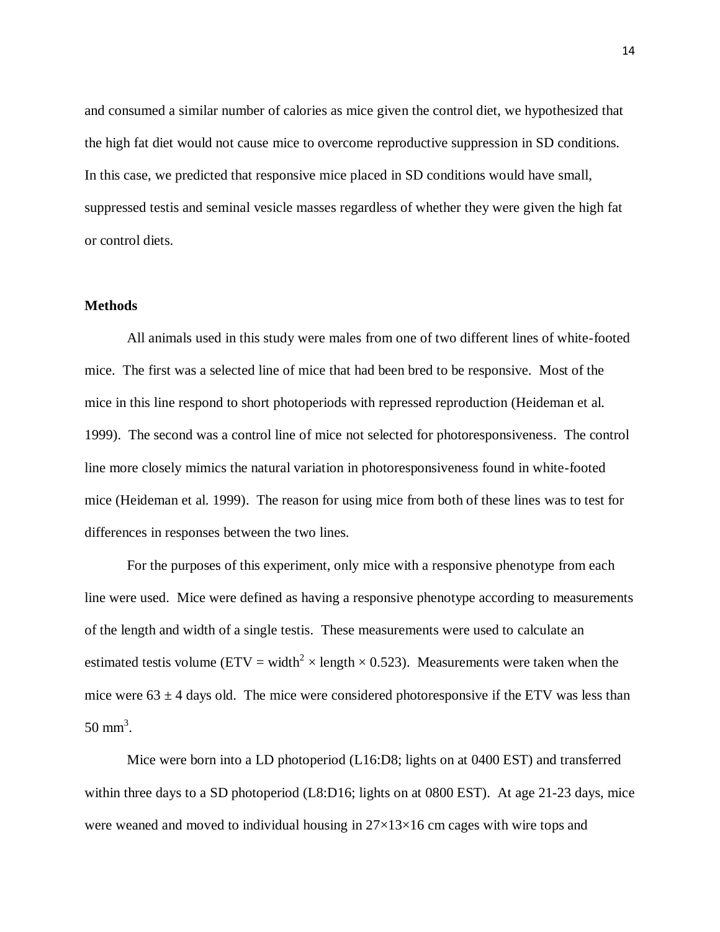and consumed a similar number of calories as mice given the control diet, we hypothesized that the high fat diet would not cause mice to overcome reproductive suppression in SD conditions. In this case, we predicted that responsive mice placed in SD conditions would have small, suppressed testis and seminal vesicle masses regardless of whether they were given the high fat or control diets.

## **Methods**

All animals used in this study were males from one of two different lines of white-footed mice. The first was a selected line of mice that had been bred to be responsive. Most of the mice in this line respond to short photoperiods with repressed reproduction (Heideman et al. 1999). The second was a control line of mice not selected for photoresponsiveness. The control line more closely mimics the natural variation in photoresponsiveness found in white-footed mice (Heideman et al. 1999). The reason for using mice from both of these lines was to test for differences in responses between the two lines.

For the purposes of this experiment, only mice with a responsive phenotype from each line were used. Mice were defined as having a responsive phenotype according to measurements of the length and width of a single testis. These measurements were used to calculate an estimated testis volume (ETV = width<sup>2</sup>  $\times$  length  $\times$  0.523). Measurements were taken when the mice were  $63 \pm 4$  days old. The mice were considered photoresponsive if the ETV was less than  $50 \text{ mm}^3$ .

Mice were born into a LD photoperiod (L16:D8; lights on at 0400 EST) and transferred within three days to a SD photoperiod (L8:D16; lights on at 0800 EST). At age 21-23 days, mice were weaned and moved to individual housing in  $27\times13\times16$  cm cages with wire tops and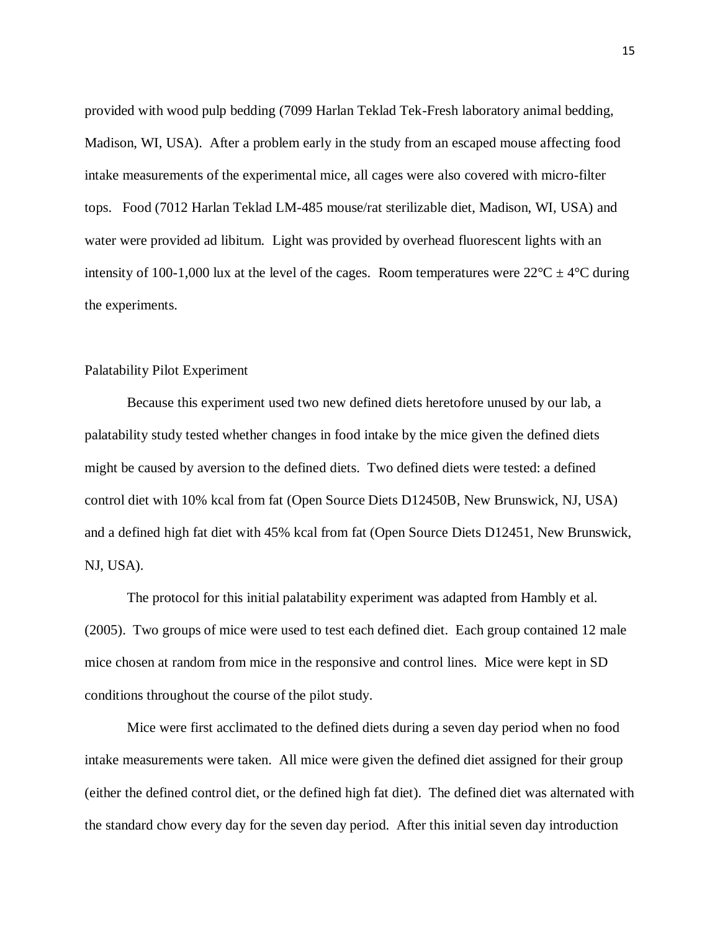provided with wood pulp bedding (7099 Harlan Teklad Tek-Fresh laboratory animal bedding, Madison, WI, USA). After a problem early in the study from an escaped mouse affecting food intake measurements of the experimental mice, all cages were also covered with micro-filter tops. Food (7012 Harlan Teklad LM-485 mouse/rat sterilizable diet, Madison, WI, USA) and water were provided ad libitum. Light was provided by overhead fluorescent lights with an intensity of 100-1,000 lux at the level of the cages. Room temperatures were  $22^{\circ}C \pm 4^{\circ}C$  during the experiments.

#### Palatability Pilot Experiment

Because this experiment used two new defined diets heretofore unused by our lab, a palatability study tested whether changes in food intake by the mice given the defined diets might be caused by aversion to the defined diets. Two defined diets were tested: a defined control diet with 10% kcal from fat (Open Source Diets D12450B, New Brunswick, NJ, USA) and a defined high fat diet with 45% kcal from fat (Open Source Diets D12451, New Brunswick, NJ, USA).

The protocol for this initial palatability experiment was adapted from Hambly et al. (2005). Two groups of mice were used to test each defined diet. Each group contained 12 male mice chosen at random from mice in the responsive and control lines. Mice were kept in SD conditions throughout the course of the pilot study.

Mice were first acclimated to the defined diets during a seven day period when no food intake measurements were taken. All mice were given the defined diet assigned for their group (either the defined control diet, or the defined high fat diet). The defined diet was alternated with the standard chow every day for the seven day period. After this initial seven day introduction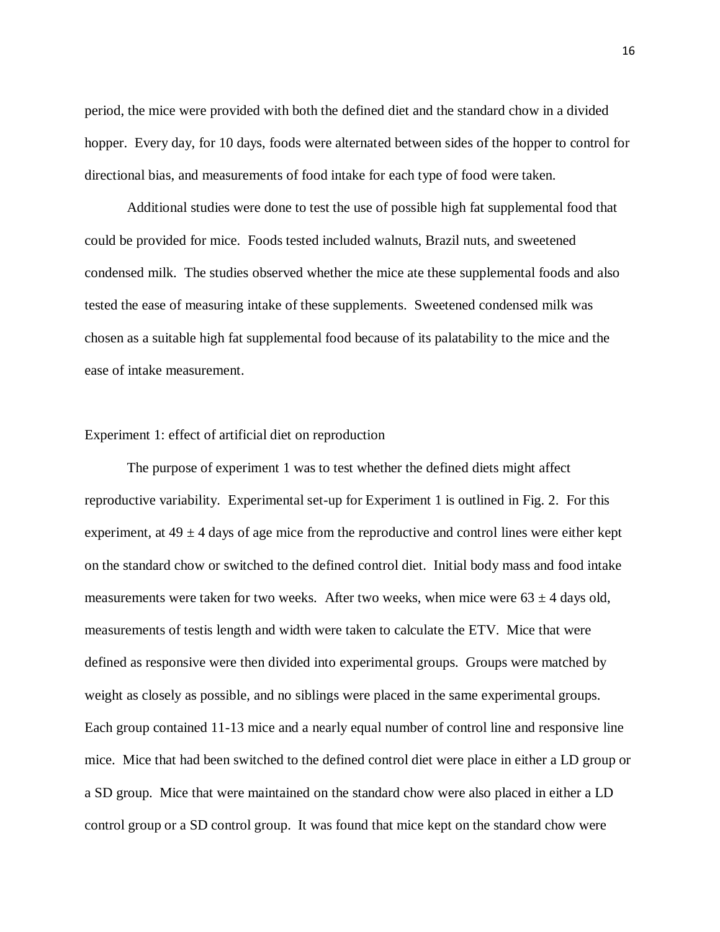period, the mice were provided with both the defined diet and the standard chow in a divided hopper. Every day, for 10 days, foods were alternated between sides of the hopper to control for directional bias, and measurements of food intake for each type of food were taken.

Additional studies were done to test the use of possible high fat supplemental food that could be provided for mice. Foods tested included walnuts, Brazil nuts, and sweetened condensed milk. The studies observed whether the mice ate these supplemental foods and also tested the ease of measuring intake of these supplements. Sweetened condensed milk was chosen as a suitable high fat supplemental food because of its palatability to the mice and the ease of intake measurement.

#### Experiment 1: effect of artificial diet on reproduction

The purpose of experiment 1 was to test whether the defined diets might affect reproductive variability. Experimental set-up for Experiment 1 is outlined in Fig. 2. For this experiment, at  $49 \pm 4$  days of age mice from the reproductive and control lines were either kept on the standard chow or switched to the defined control diet. Initial body mass and food intake measurements were taken for two weeks. After two weeks, when mice were  $63 \pm 4$  days old, measurements of testis length and width were taken to calculate the ETV. Mice that were defined as responsive were then divided into experimental groups. Groups were matched by weight as closely as possible, and no siblings were placed in the same experimental groups. Each group contained 11-13 mice and a nearly equal number of control line and responsive line mice. Mice that had been switched to the defined control diet were place in either a LD group or a SD group. Mice that were maintained on the standard chow were also placed in either a LD control group or a SD control group. It was found that mice kept on the standard chow were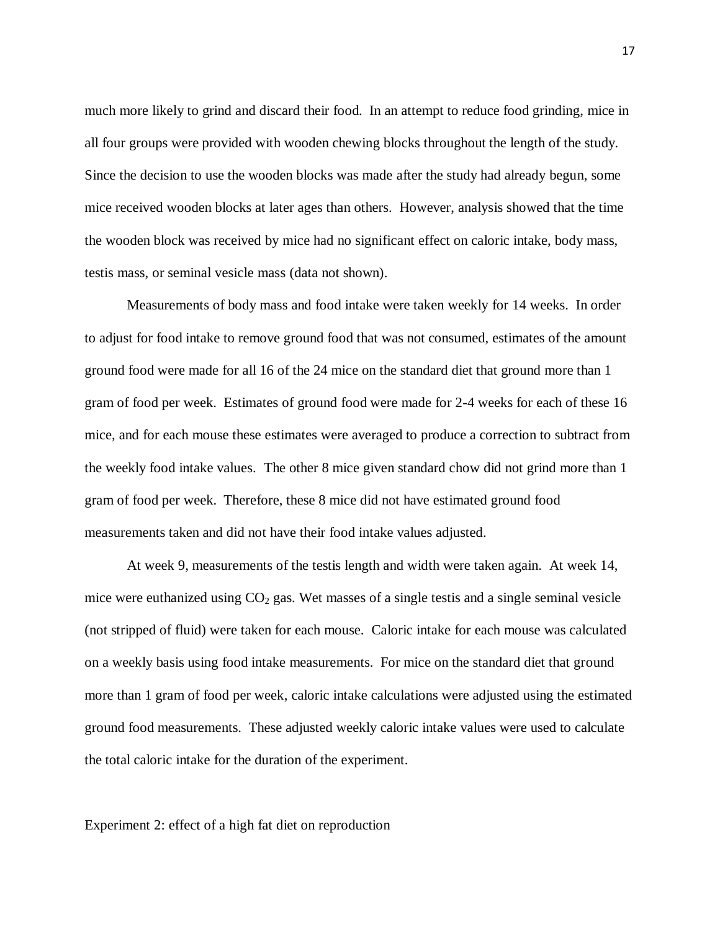much more likely to grind and discard their food. In an attempt to reduce food grinding, mice in all four groups were provided with wooden chewing blocks throughout the length of the study. Since the decision to use the wooden blocks was made after the study had already begun, some mice received wooden blocks at later ages than others. However, analysis showed that the time the wooden block was received by mice had no significant effect on caloric intake, body mass, testis mass, or seminal vesicle mass (data not shown).

Measurements of body mass and food intake were taken weekly for 14 weeks. In order to adjust for food intake to remove ground food that was not consumed, estimates of the amount ground food were made for all 16 of the 24 mice on the standard diet that ground more than 1 gram of food per week. Estimates of ground food were made for 2-4 weeks for each of these 16 mice, and for each mouse these estimates were averaged to produce a correction to subtract from the weekly food intake values. The other 8 mice given standard chow did not grind more than 1 gram of food per week. Therefore, these 8 mice did not have estimated ground food measurements taken and did not have their food intake values adjusted.

At week 9, measurements of the testis length and width were taken again. At week 14, mice were euthanized using  $CO<sub>2</sub>$  gas. Wet masses of a single testis and a single seminal vesicle (not stripped of fluid) were taken for each mouse. Caloric intake for each mouse was calculated on a weekly basis using food intake measurements. For mice on the standard diet that ground more than 1 gram of food per week, caloric intake calculations were adjusted using the estimated ground food measurements. These adjusted weekly caloric intake values were used to calculate the total caloric intake for the duration of the experiment.

Experiment 2: effect of a high fat diet on reproduction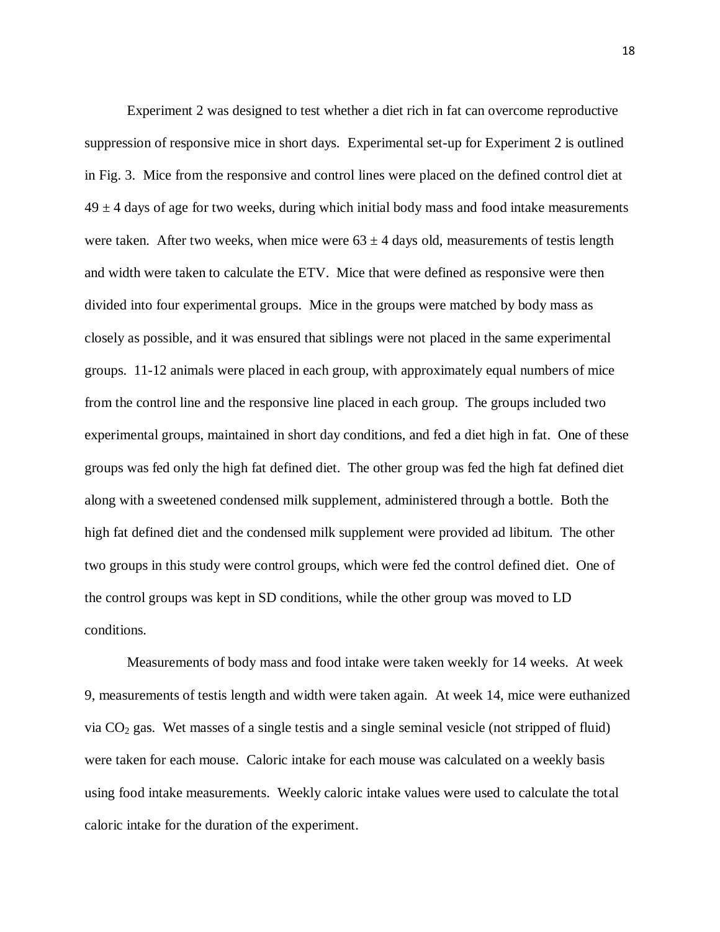Experiment 2 was designed to test whether a diet rich in fat can overcome reproductive suppression of responsive mice in short days. Experimental set-up for Experiment 2 is outlined in Fig. 3. Mice from the responsive and control lines were placed on the defined control diet at  $49 \pm 4$  days of age for two weeks, during which initial body mass and food intake measurements were taken. After two weeks, when mice were  $63 \pm 4$  days old, measurements of testis length and width were taken to calculate the ETV. Mice that were defined as responsive were then divided into four experimental groups. Mice in the groups were matched by body mass as closely as possible, and it was ensured that siblings were not placed in the same experimental groups. 11-12 animals were placed in each group, with approximately equal numbers of mice from the control line and the responsive line placed in each group. The groups included two experimental groups, maintained in short day conditions, and fed a diet high in fat. One of these groups was fed only the high fat defined diet. The other group was fed the high fat defined diet along with a sweetened condensed milk supplement, administered through a bottle. Both the high fat defined diet and the condensed milk supplement were provided ad libitum. The other two groups in this study were control groups, which were fed the control defined diet. One of the control groups was kept in SD conditions, while the other group was moved to LD conditions.

Measurements of body mass and food intake were taken weekly for 14 weeks. At week 9, measurements of testis length and width were taken again. At week 14, mice were euthanized via  $CO<sub>2</sub>$  gas. Wet masses of a single testis and a single seminal vesicle (not stripped of fluid) were taken for each mouse. Caloric intake for each mouse was calculated on a weekly basis using food intake measurements. Weekly caloric intake values were used to calculate the total caloric intake for the duration of the experiment.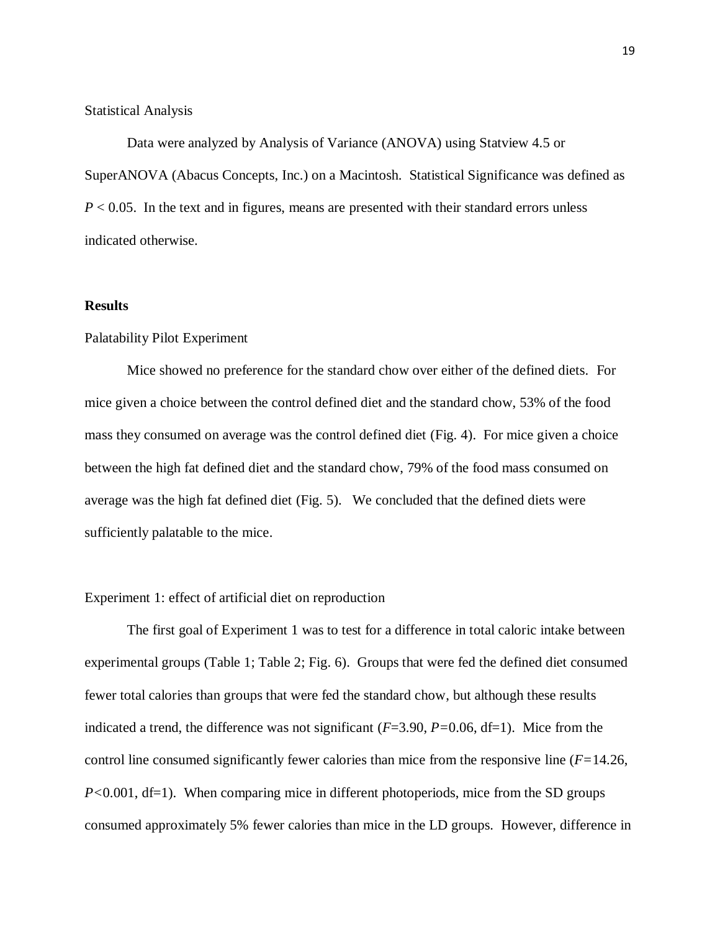#### Statistical Analysis

Data were analyzed by Analysis of Variance (ANOVA) using Statview 4.5 or SuperANOVA (Abacus Concepts, Inc.) on a Macintosh. Statistical Significance was defined as *P* < 0.05. In the text and in figures, means are presented with their standard errors unless indicated otherwise.

## **Results**

#### Palatability Pilot Experiment

Mice showed no preference for the standard chow over either of the defined diets. For mice given a choice between the control defined diet and the standard chow, 53% of the food mass they consumed on average was the control defined diet (Fig. 4). For mice given a choice between the high fat defined diet and the standard chow, 79% of the food mass consumed on average was the high fat defined diet (Fig. 5). We concluded that the defined diets were sufficiently palatable to the mice.

#### Experiment 1: effect of artificial diet on reproduction

The first goal of Experiment 1 was to test for a difference in total caloric intake between experimental groups (Table 1; Table 2; Fig. 6). Groups that were fed the defined diet consumed fewer total calories than groups that were fed the standard chow, but although these results indicated a trend, the difference was not significant (*F*=3.90, *P=*0.06, df=1). Mice from the control line consumed significantly fewer calories than mice from the responsive line (*F=*14.26, *P*<0.001, df=1). When comparing mice in different photoperiods, mice from the SD groups consumed approximately 5% fewer calories than mice in the LD groups. However, difference in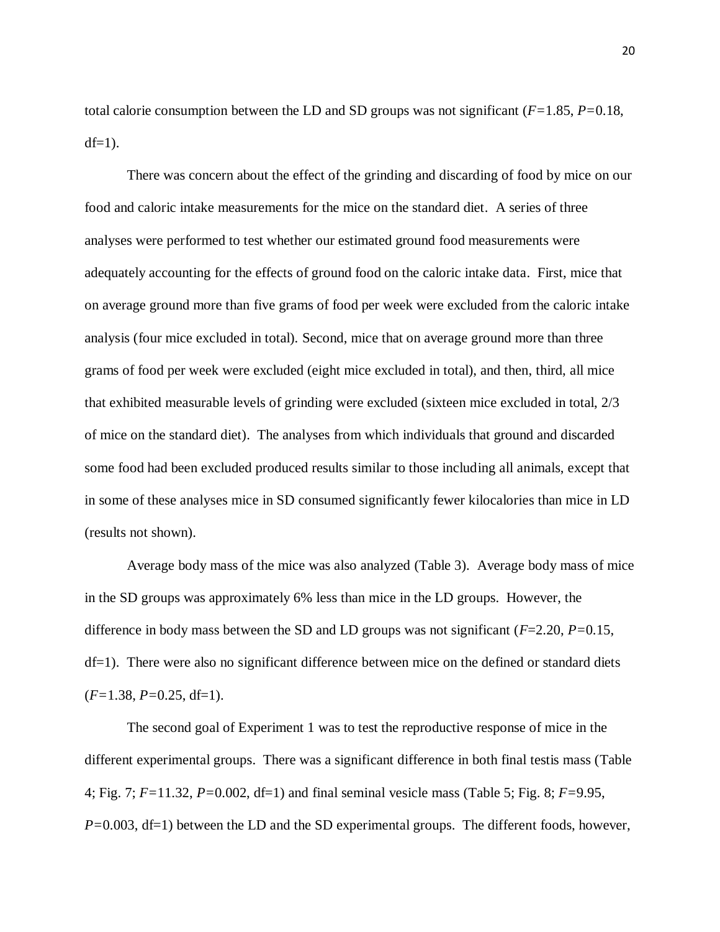total calorie consumption between the LD and SD groups was not significant (*F=*1.85, *P=*0.18,  $df=1$ ).

There was concern about the effect of the grinding and discarding of food by mice on our food and caloric intake measurements for the mice on the standard diet. A series of three analyses were performed to test whether our estimated ground food measurements were adequately accounting for the effects of ground food on the caloric intake data. First, mice that on average ground more than five grams of food per week were excluded from the caloric intake analysis (four mice excluded in total). Second, mice that on average ground more than three grams of food per week were excluded (eight mice excluded in total), and then, third, all mice that exhibited measurable levels of grinding were excluded (sixteen mice excluded in total, 2/3 of mice on the standard diet). The analyses from which individuals that ground and discarded some food had been excluded produced results similar to those including all animals, except that in some of these analyses mice in SD consumed significantly fewer kilocalories than mice in LD (results not shown).

Average body mass of the mice was also analyzed (Table 3). Average body mass of mice in the SD groups was approximately 6% less than mice in the LD groups. However, the difference in body mass between the SD and LD groups was not significant (*F*=2.20, *P=*0.15, df=1). There were also no significant difference between mice on the defined or standard diets (*F=*1.38, *P=*0.25, df=1).

The second goal of Experiment 1 was to test the reproductive response of mice in the different experimental groups. There was a significant difference in both final testis mass (Table 4; Fig. 7; *F=*11.32, *P=*0.002, df=1) and final seminal vesicle mass (Table 5; Fig. 8; *F=*9.95, *P*=0.003, df=1) between the LD and the SD experimental groups. The different foods, however,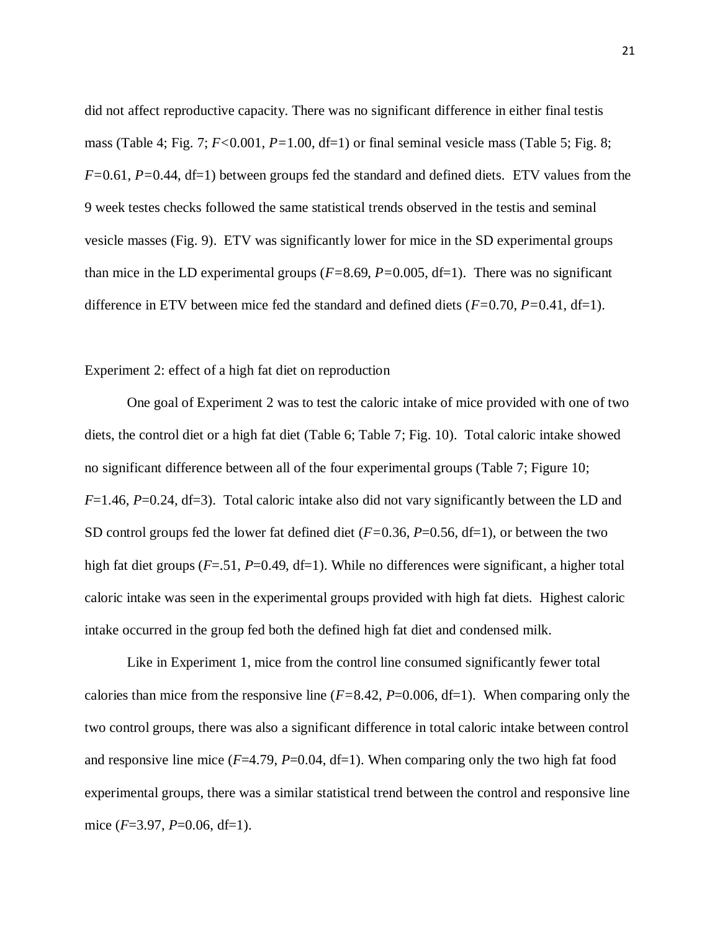did not affect reproductive capacity. There was no significant difference in either final testis mass (Table 4; Fig. 7; *F<*0.001, *P=*1.00, df=1) or final seminal vesicle mass (Table 5; Fig. 8; *F=*0.61, *P=*0.44, df=1) between groups fed the standard and defined diets. ETV values from the 9 week testes checks followed the same statistical trends observed in the testis and seminal vesicle masses (Fig. 9). ETV was significantly lower for mice in the SD experimental groups than mice in the LD experimental groups (*F=*8.69, *P=*0.005, df=1). There was no significant difference in ETV between mice fed the standard and defined diets (*F=*0.70, *P=*0.41, df=1).

#### Experiment 2: effect of a high fat diet on reproduction

One goal of Experiment 2 was to test the caloric intake of mice provided with one of two diets, the control diet or a high fat diet (Table 6; Table 7; Fig. 10). Total caloric intake showed no significant difference between all of the four experimental groups (Table 7; Figure 10; *F*=1.46, *P*=0.24, df=3). Total caloric intake also did not vary significantly between the LD and SD control groups fed the lower fat defined diet (*F=*0.36, *P*=0.56, df=1), or between the two high fat diet groups (*F*=.51, *P*=0.49, df=1). While no differences were significant, a higher total caloric intake was seen in the experimental groups provided with high fat diets. Highest caloric intake occurred in the group fed both the defined high fat diet and condensed milk.

Like in Experiment 1, mice from the control line consumed significantly fewer total calories than mice from the responsive line  $(F=8.42, P=0.006, df=1)$ . When comparing only the two control groups, there was also a significant difference in total caloric intake between control and responsive line mice (*F*=4.79, *P*=0.04, df=1). When comparing only the two high fat food experimental groups, there was a similar statistical trend between the control and responsive line mice (*F*=3.97, *P*=0.06, df=1).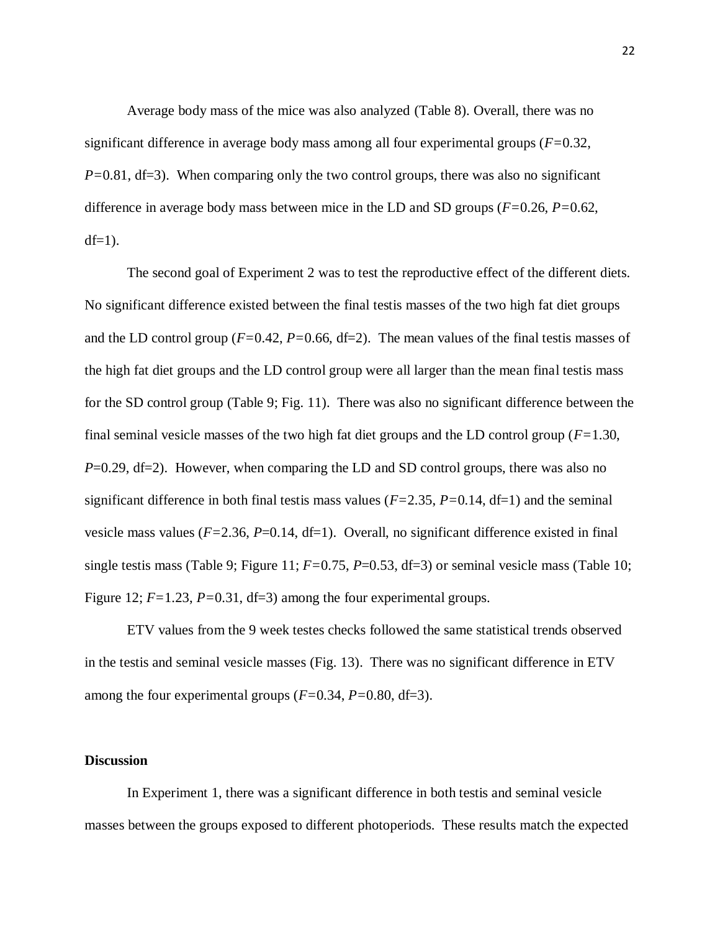Average body mass of the mice was also analyzed (Table 8). Overall, there was no significant difference in average body mass among all four experimental groups (*F=*0.32, *P*=0.81, df=3). When comparing only the two control groups, there was also no significant difference in average body mass between mice in the LD and SD groups (*F=*0.26, *P=*0.62,  $df=1$ ).

The second goal of Experiment 2 was to test the reproductive effect of the different diets. No significant difference existed between the final testis masses of the two high fat diet groups and the LD control group ( $F=0.42$ ,  $P=0.66$ ,  $df=2$ ). The mean values of the final test is masses of the high fat diet groups and the LD control group were all larger than the mean final testis mass for the SD control group (Table 9; Fig. 11). There was also no significant difference between the final seminal vesicle masses of the two high fat diet groups and the LD control group (*F=*1.30, *P*=0.29, df=2). However, when comparing the LD and SD control groups, there was also no significant difference in both final testis mass values (*F=*2.35, *P=*0.14, df=1) and the seminal vesicle mass values  $(F=2.36, P=0.14, df=1)$ . Overall, no significant difference existed in final single testis mass (Table 9; Figure 11;  $F=0.75$ ,  $P=0.53$ , df=3) or seminal vesicle mass (Table 10; Figure 12;  $F=1.23$ ,  $P=0.31$ , df=3) among the four experimental groups.

ETV values from the 9 week testes checks followed the same statistical trends observed in the testis and seminal vesicle masses (Fig. 13). There was no significant difference in ETV among the four experimental groups (*F=*0.34, *P=*0.80, df=3).

#### **Discussion**

In Experiment 1, there was a significant difference in both testis and seminal vesicle masses between the groups exposed to different photoperiods. These results match the expected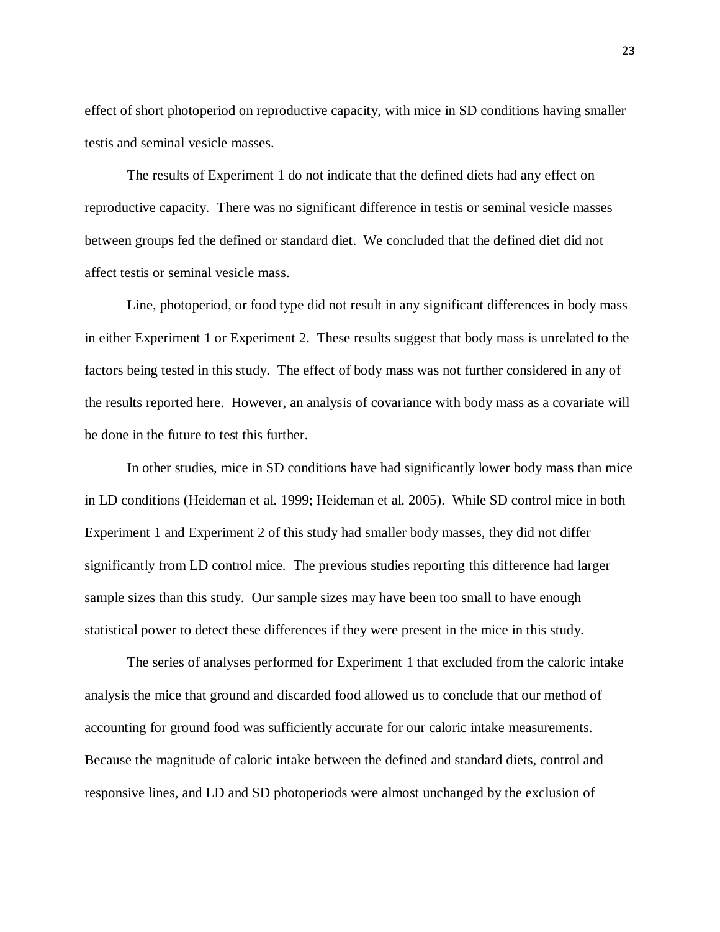effect of short photoperiod on reproductive capacity, with mice in SD conditions having smaller testis and seminal vesicle masses.

The results of Experiment 1 do not indicate that the defined diets had any effect on reproductive capacity. There was no significant difference in testis or seminal vesicle masses between groups fed the defined or standard diet. We concluded that the defined diet did not affect testis or seminal vesicle mass.

Line, photoperiod, or food type did not result in any significant differences in body mass in either Experiment 1 or Experiment 2. These results suggest that body mass is unrelated to the factors being tested in this study. The effect of body mass was not further considered in any of the results reported here. However, an analysis of covariance with body mass as a covariate will be done in the future to test this further.

In other studies, mice in SD conditions have had significantly lower body mass than mice in LD conditions (Heideman et al. 1999; Heideman et al. 2005). While SD control mice in both Experiment 1 and Experiment 2 of this study had smaller body masses, they did not differ significantly from LD control mice. The previous studies reporting this difference had larger sample sizes than this study. Our sample sizes may have been too small to have enough statistical power to detect these differences if they were present in the mice in this study.

The series of analyses performed for Experiment 1 that excluded from the caloric intake analysis the mice that ground and discarded food allowed us to conclude that our method of accounting for ground food was sufficiently accurate for our caloric intake measurements. Because the magnitude of caloric intake between the defined and standard diets, control and responsive lines, and LD and SD photoperiods were almost unchanged by the exclusion of

23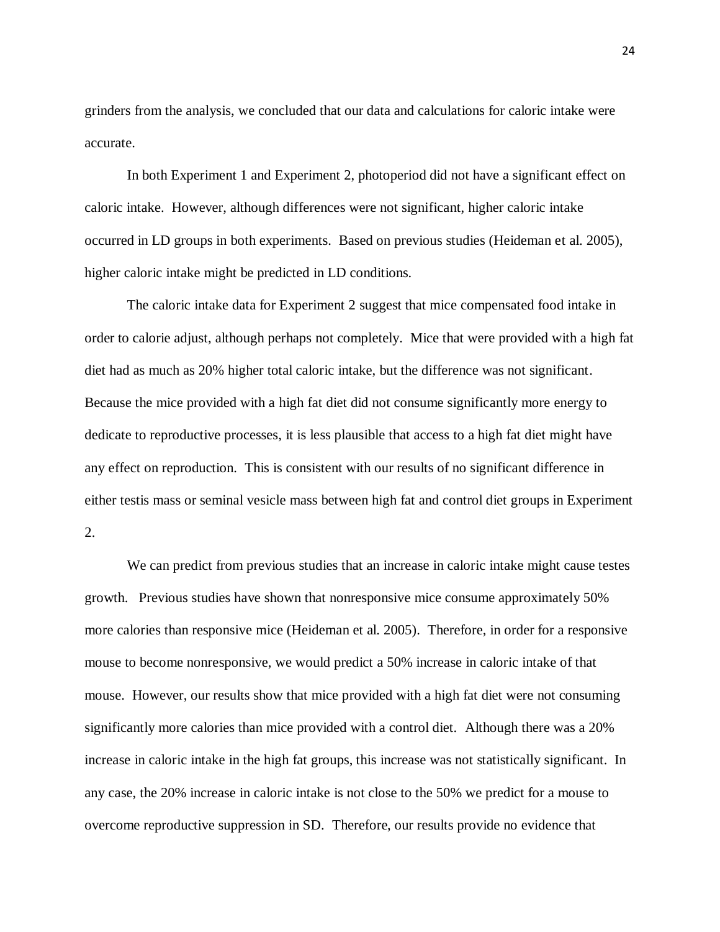grinders from the analysis, we concluded that our data and calculations for caloric intake were accurate.

In both Experiment 1 and Experiment 2, photoperiod did not have a significant effect on caloric intake. However, although differences were not significant, higher caloric intake occurred in LD groups in both experiments. Based on previous studies (Heideman et al. 2005), higher caloric intake might be predicted in LD conditions.

The caloric intake data for Experiment 2 suggest that mice compensated food intake in order to calorie adjust, although perhaps not completely. Mice that were provided with a high fat diet had as much as 20% higher total caloric intake, but the difference was not significant. Because the mice provided with a high fat diet did not consume significantly more energy to dedicate to reproductive processes, it is less plausible that access to a high fat diet might have any effect on reproduction. This is consistent with our results of no significant difference in either testis mass or seminal vesicle mass between high fat and control diet groups in Experiment 2.

We can predict from previous studies that an increase in caloric intake might cause testes growth. Previous studies have shown that nonresponsive mice consume approximately 50% more calories than responsive mice (Heideman et al. 2005). Therefore, in order for a responsive mouse to become nonresponsive, we would predict a 50% increase in caloric intake of that mouse. However, our results show that mice provided with a high fat diet were not consuming significantly more calories than mice provided with a control diet. Although there was a 20% increase in caloric intake in the high fat groups, this increase was not statistically significant. In any case, the 20% increase in caloric intake is not close to the 50% we predict for a mouse to overcome reproductive suppression in SD. Therefore, our results provide no evidence that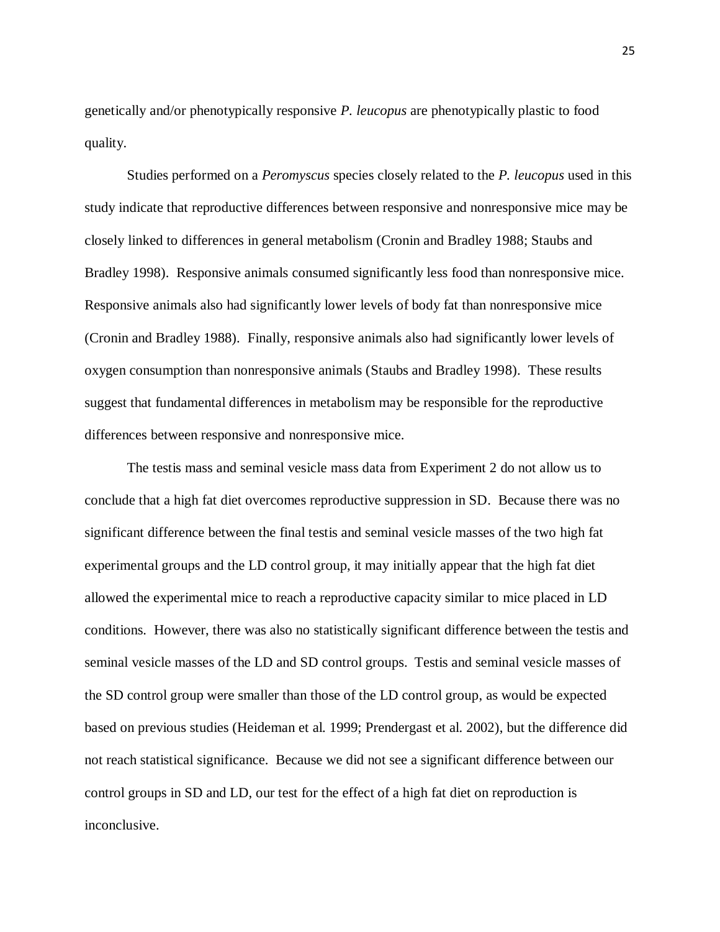genetically and/or phenotypically responsive *P. leucopus* are phenotypically plastic to food quality.

Studies performed on a *Peromyscus* species closely related to the *P. leucopus* used in this study indicate that reproductive differences between responsive and nonresponsive mice may be closely linked to differences in general metabolism (Cronin and Bradley 1988; Staubs and Bradley 1998). Responsive animals consumed significantly less food than nonresponsive mice. Responsive animals also had significantly lower levels of body fat than nonresponsive mice (Cronin and Bradley 1988). Finally, responsive animals also had significantly lower levels of oxygen consumption than nonresponsive animals (Staubs and Bradley 1998). These results suggest that fundamental differences in metabolism may be responsible for the reproductive differences between responsive and nonresponsive mice.

The testis mass and seminal vesicle mass data from Experiment 2 do not allow us to conclude that a high fat diet overcomes reproductive suppression in SD. Because there was no significant difference between the final testis and seminal vesicle masses of the two high fat experimental groups and the LD control group, it may initially appear that the high fat diet allowed the experimental mice to reach a reproductive capacity similar to mice placed in LD conditions. However, there was also no statistically significant difference between the testis and seminal vesicle masses of the LD and SD control groups. Testis and seminal vesicle masses of the SD control group were smaller than those of the LD control group, as would be expected based on previous studies (Heideman et al. 1999; Prendergast et al. 2002), but the difference did not reach statistical significance. Because we did not see a significant difference between our control groups in SD and LD, our test for the effect of a high fat diet on reproduction is inconclusive.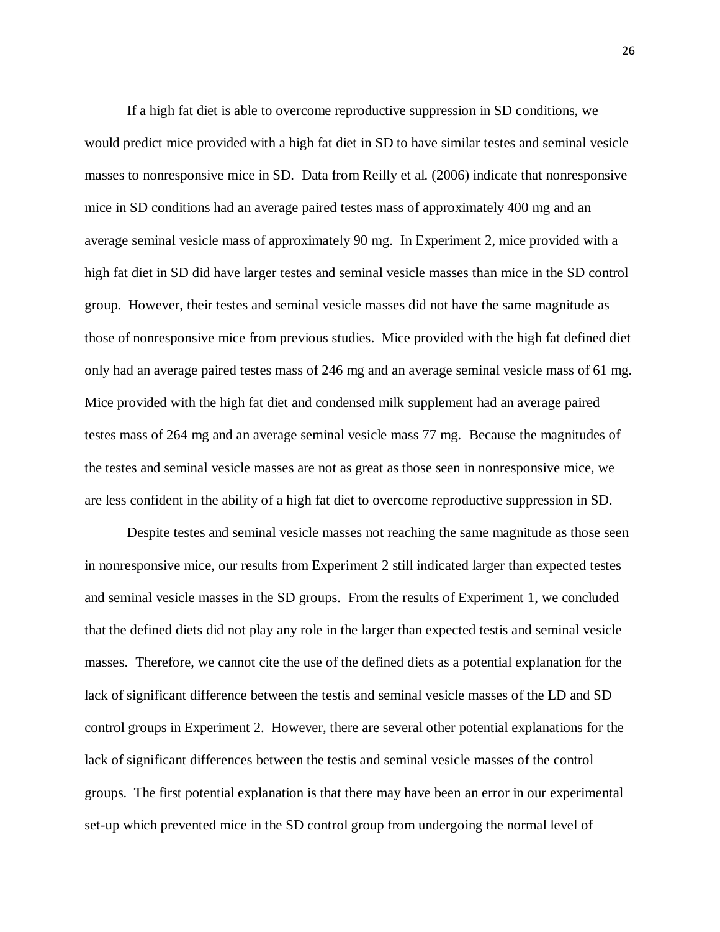If a high fat diet is able to overcome reproductive suppression in SD conditions, we would predict mice provided with a high fat diet in SD to have similar testes and seminal vesicle masses to nonresponsive mice in SD. Data from Reilly et al. (2006) indicate that nonresponsive mice in SD conditions had an average paired testes mass of approximately 400 mg and an average seminal vesicle mass of approximately 90 mg. In Experiment 2, mice provided with a high fat diet in SD did have larger testes and seminal vesicle masses than mice in the SD control group. However, their testes and seminal vesicle masses did not have the same magnitude as those of nonresponsive mice from previous studies. Mice provided with the high fat defined diet only had an average paired testes mass of 246 mg and an average seminal vesicle mass of 61 mg. Mice provided with the high fat diet and condensed milk supplement had an average paired testes mass of 264 mg and an average seminal vesicle mass 77 mg. Because the magnitudes of the testes and seminal vesicle masses are not as great as those seen in nonresponsive mice, we are less confident in the ability of a high fat diet to overcome reproductive suppression in SD.

Despite testes and seminal vesicle masses not reaching the same magnitude as those seen in nonresponsive mice, our results from Experiment 2 still indicated larger than expected testes and seminal vesicle masses in the SD groups. From the results of Experiment 1, we concluded that the defined diets did not play any role in the larger than expected testis and seminal vesicle masses. Therefore, we cannot cite the use of the defined diets as a potential explanation for the lack of significant difference between the testis and seminal vesicle masses of the LD and SD control groups in Experiment 2. However, there are several other potential explanations for the lack of significant differences between the testis and seminal vesicle masses of the control groups. The first potential explanation is that there may have been an error in our experimental set-up which prevented mice in the SD control group from undergoing the normal level of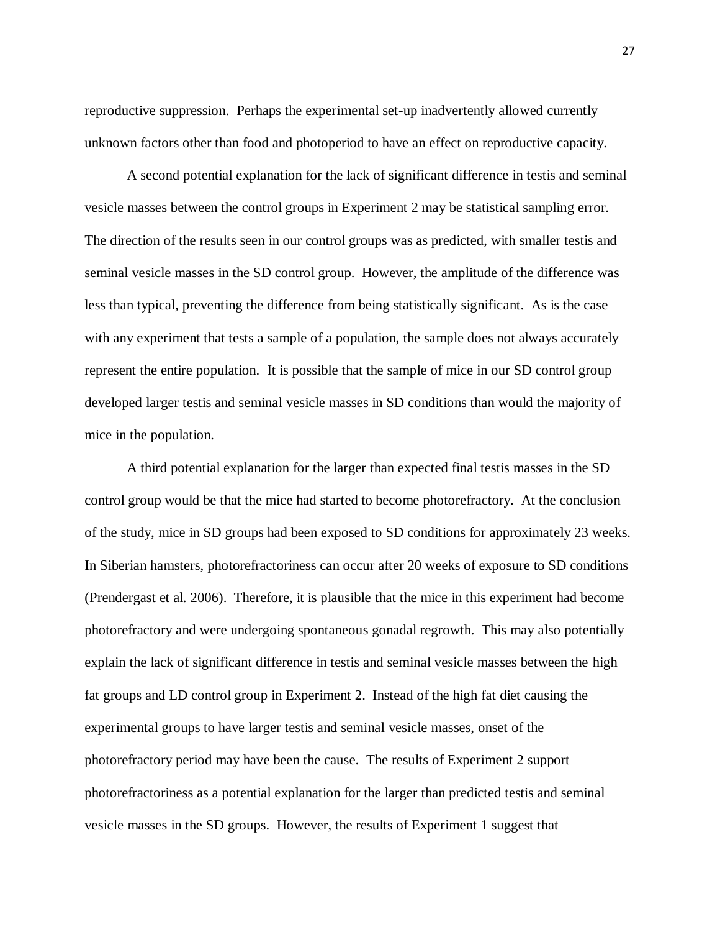reproductive suppression. Perhaps the experimental set-up inadvertently allowed currently unknown factors other than food and photoperiod to have an effect on reproductive capacity.

A second potential explanation for the lack of significant difference in testis and seminal vesicle masses between the control groups in Experiment 2 may be statistical sampling error. The direction of the results seen in our control groups was as predicted, with smaller testis and seminal vesicle masses in the SD control group. However, the amplitude of the difference was less than typical, preventing the difference from being statistically significant. As is the case with any experiment that tests a sample of a population, the sample does not always accurately represent the entire population. It is possible that the sample of mice in our SD control group developed larger testis and seminal vesicle masses in SD conditions than would the majority of mice in the population.

A third potential explanation for the larger than expected final testis masses in the SD control group would be that the mice had started to become photorefractory. At the conclusion of the study, mice in SD groups had been exposed to SD conditions for approximately 23 weeks. In Siberian hamsters, photorefractoriness can occur after 20 weeks of exposure to SD conditions (Prendergast et al. 2006). Therefore, it is plausible that the mice in this experiment had become photorefractory and were undergoing spontaneous gonadal regrowth. This may also potentially explain the lack of significant difference in testis and seminal vesicle masses between the high fat groups and LD control group in Experiment 2. Instead of the high fat diet causing the experimental groups to have larger testis and seminal vesicle masses, onset of the photorefractory period may have been the cause. The results of Experiment 2 support photorefractoriness as a potential explanation for the larger than predicted testis and seminal vesicle masses in the SD groups. However, the results of Experiment 1 suggest that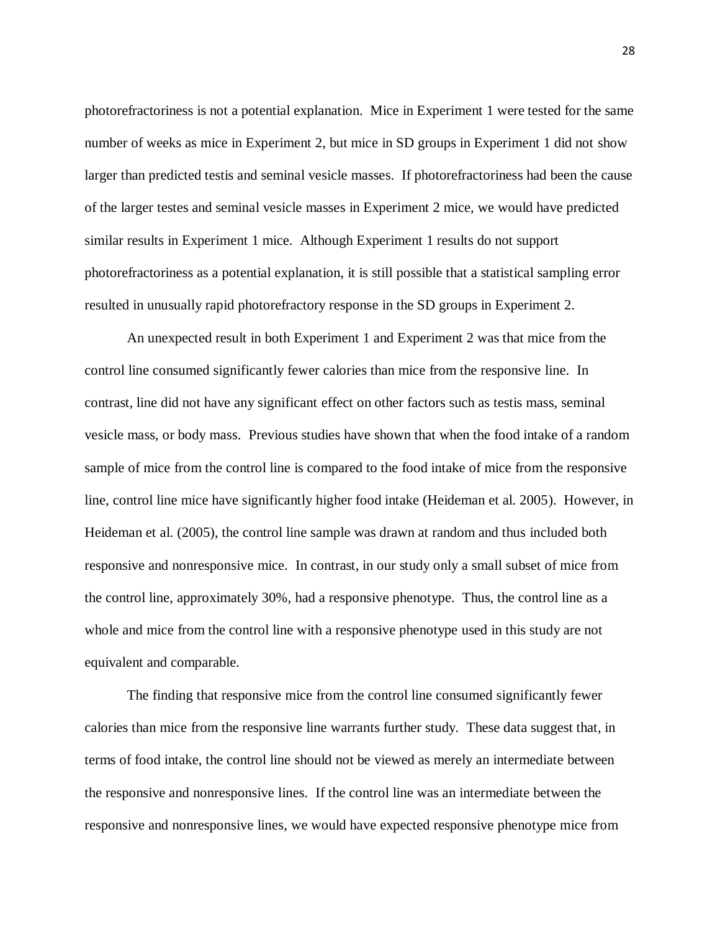photorefractoriness is not a potential explanation. Mice in Experiment 1 were tested for the same number of weeks as mice in Experiment 2, but mice in SD groups in Experiment 1 did not show larger than predicted testis and seminal vesicle masses. If photorefractoriness had been the cause of the larger testes and seminal vesicle masses in Experiment 2 mice, we would have predicted similar results in Experiment 1 mice. Although Experiment 1 results do not support photorefractoriness as a potential explanation, it is still possible that a statistical sampling error resulted in unusually rapid photorefractory response in the SD groups in Experiment 2.

An unexpected result in both Experiment 1 and Experiment 2 was that mice from the control line consumed significantly fewer calories than mice from the responsive line. In contrast, line did not have any significant effect on other factors such as testis mass, seminal vesicle mass, or body mass. Previous studies have shown that when the food intake of a random sample of mice from the control line is compared to the food intake of mice from the responsive line, control line mice have significantly higher food intake (Heideman et al. 2005). However, in Heideman et al. (2005), the control line sample was drawn at random and thus included both responsive and nonresponsive mice. In contrast, in our study only a small subset of mice from the control line, approximately 30%, had a responsive phenotype. Thus, the control line as a whole and mice from the control line with a responsive phenotype used in this study are not equivalent and comparable.

The finding that responsive mice from the control line consumed significantly fewer calories than mice from the responsive line warrants further study. These data suggest that, in terms of food intake, the control line should not be viewed as merely an intermediate between the responsive and nonresponsive lines. If the control line was an intermediate between the responsive and nonresponsive lines, we would have expected responsive phenotype mice from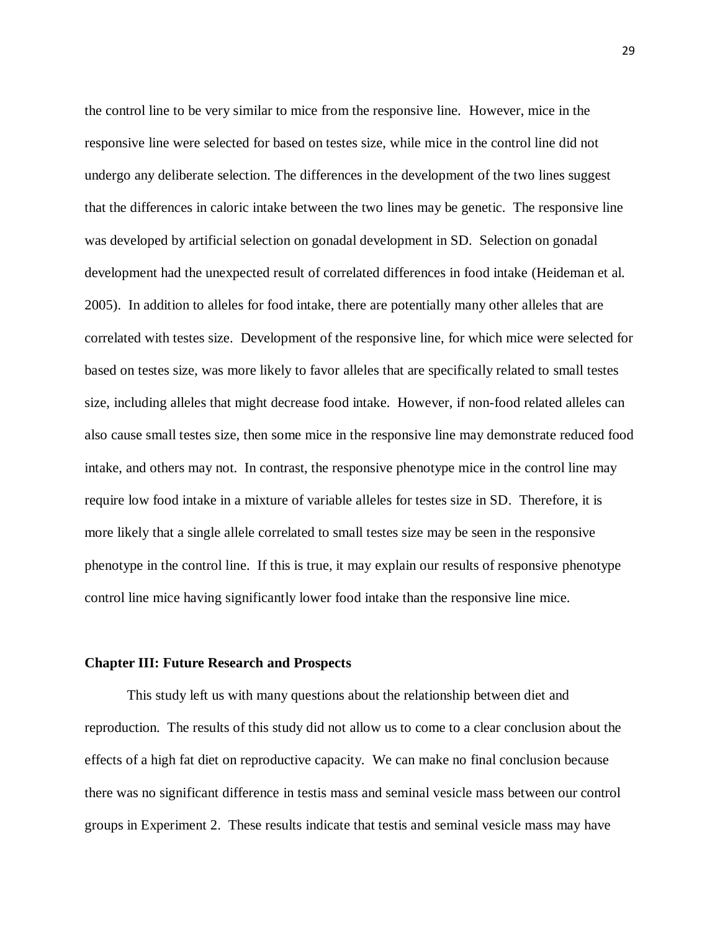the control line to be very similar to mice from the responsive line. However, mice in the responsive line were selected for based on testes size, while mice in the control line did not undergo any deliberate selection. The differences in the development of the two lines suggest that the differences in caloric intake between the two lines may be genetic. The responsive line was developed by artificial selection on gonadal development in SD. Selection on gonadal development had the unexpected result of correlated differences in food intake (Heideman et al. 2005). In addition to alleles for food intake, there are potentially many other alleles that are correlated with testes size. Development of the responsive line, for which mice were selected for based on testes size, was more likely to favor alleles that are specifically related to small testes size, including alleles that might decrease food intake. However, if non-food related alleles can also cause small testes size, then some mice in the responsive line may demonstrate reduced food intake, and others may not. In contrast, the responsive phenotype mice in the control line may require low food intake in a mixture of variable alleles for testes size in SD. Therefore, it is more likely that a single allele correlated to small testes size may be seen in the responsive phenotype in the control line. If this is true, it may explain our results of responsive phenotype control line mice having significantly lower food intake than the responsive line mice.

#### **Chapter III: Future Research and Prospects**

This study left us with many questions about the relationship between diet and reproduction. The results of this study did not allow us to come to a clear conclusion about the effects of a high fat diet on reproductive capacity. We can make no final conclusion because there was no significant difference in testis mass and seminal vesicle mass between our control groups in Experiment 2. These results indicate that testis and seminal vesicle mass may have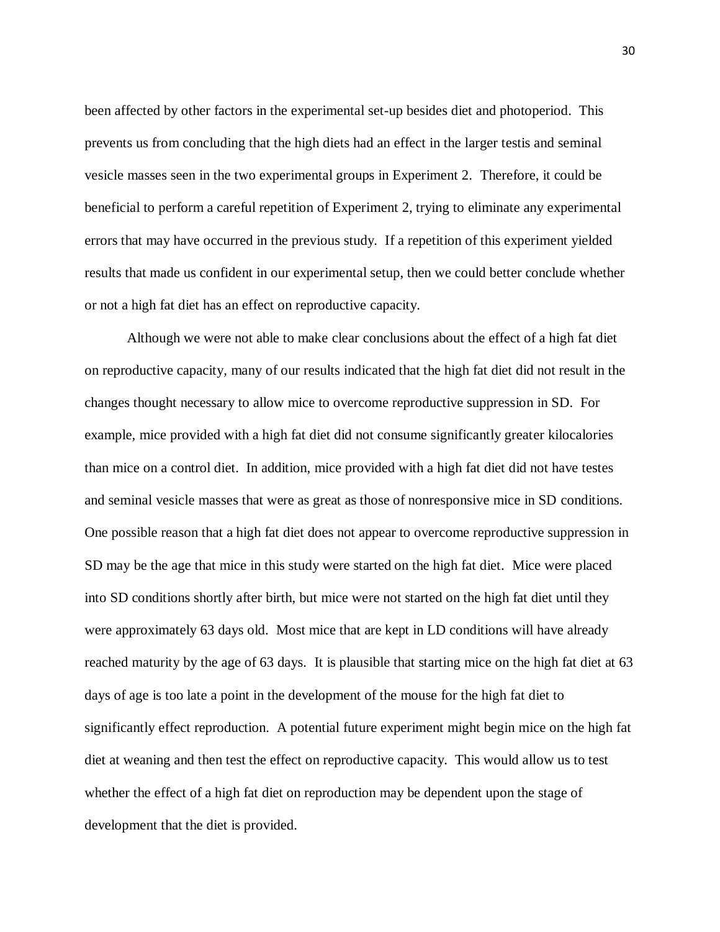been affected by other factors in the experimental set-up besides diet and photoperiod. This prevents us from concluding that the high diets had an effect in the larger testis and seminal vesicle masses seen in the two experimental groups in Experiment 2. Therefore, it could be beneficial to perform a careful repetition of Experiment 2, trying to eliminate any experimental errors that may have occurred in the previous study. If a repetition of this experiment yielded results that made us confident in our experimental setup, then we could better conclude whether or not a high fat diet has an effect on reproductive capacity.

Although we were not able to make clear conclusions about the effect of a high fat diet on reproductive capacity, many of our results indicated that the high fat diet did not result in the changes thought necessary to allow mice to overcome reproductive suppression in SD. For example, mice provided with a high fat diet did not consume significantly greater kilocalories than mice on a control diet. In addition, mice provided with a high fat diet did not have testes and seminal vesicle masses that were as great as those of nonresponsive mice in SD conditions. One possible reason that a high fat diet does not appear to overcome reproductive suppression in SD may be the age that mice in this study were started on the high fat diet. Mice were placed into SD conditions shortly after birth, but mice were not started on the high fat diet until they were approximately 63 days old. Most mice that are kept in LD conditions will have already reached maturity by the age of 63 days. It is plausible that starting mice on the high fat diet at 63 days of age is too late a point in the development of the mouse for the high fat diet to significantly effect reproduction. A potential future experiment might begin mice on the high fat diet at weaning and then test the effect on reproductive capacity. This would allow us to test whether the effect of a high fat diet on reproduction may be dependent upon the stage of development that the diet is provided.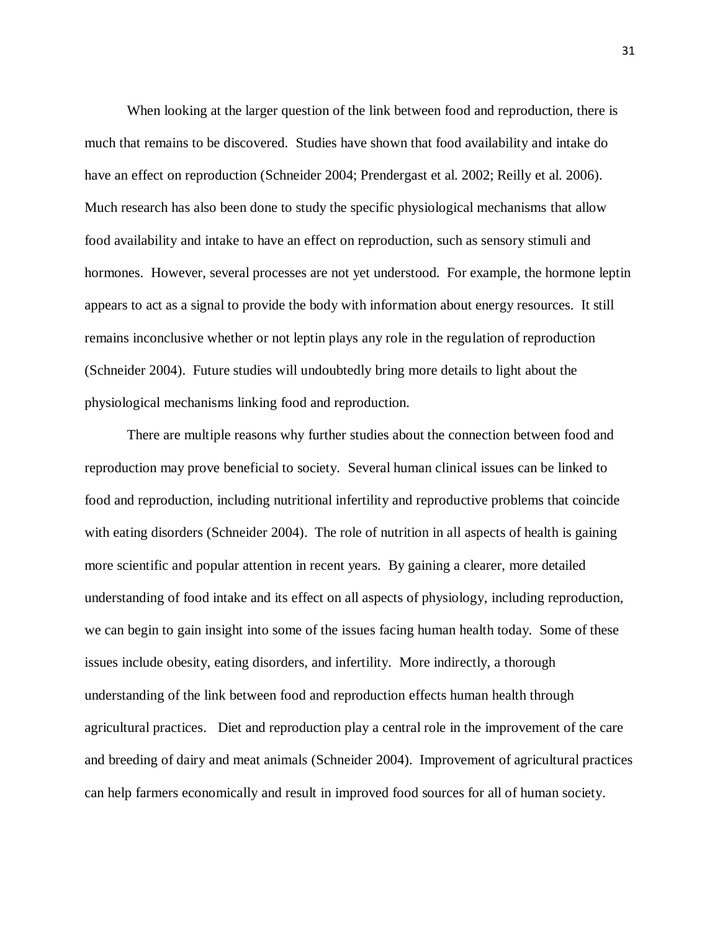When looking at the larger question of the link between food and reproduction, there is much that remains to be discovered. Studies have shown that food availability and intake do have an effect on reproduction (Schneider 2004; Prendergast et al. 2002; Reilly et al. 2006). Much research has also been done to study the specific physiological mechanisms that allow food availability and intake to have an effect on reproduction, such as sensory stimuli and hormones. However, several processes are not yet understood. For example, the hormone leptin appears to act as a signal to provide the body with information about energy resources. It still remains inconclusive whether or not leptin plays any role in the regulation of reproduction (Schneider 2004). Future studies will undoubtedly bring more details to light about the physiological mechanisms linking food and reproduction.

There are multiple reasons why further studies about the connection between food and reproduction may prove beneficial to society. Several human clinical issues can be linked to food and reproduction, including nutritional infertility and reproductive problems that coincide with eating disorders (Schneider 2004). The role of nutrition in all aspects of health is gaining more scientific and popular attention in recent years. By gaining a clearer, more detailed understanding of food intake and its effect on all aspects of physiology, including reproduction, we can begin to gain insight into some of the issues facing human health today. Some of these issues include obesity, eating disorders, and infertility. More indirectly, a thorough understanding of the link between food and reproduction effects human health through agricultural practices. Diet and reproduction play a central role in the improvement of the care and breeding of dairy and meat animals (Schneider 2004). Improvement of agricultural practices can help farmers economically and result in improved food sources for all of human society.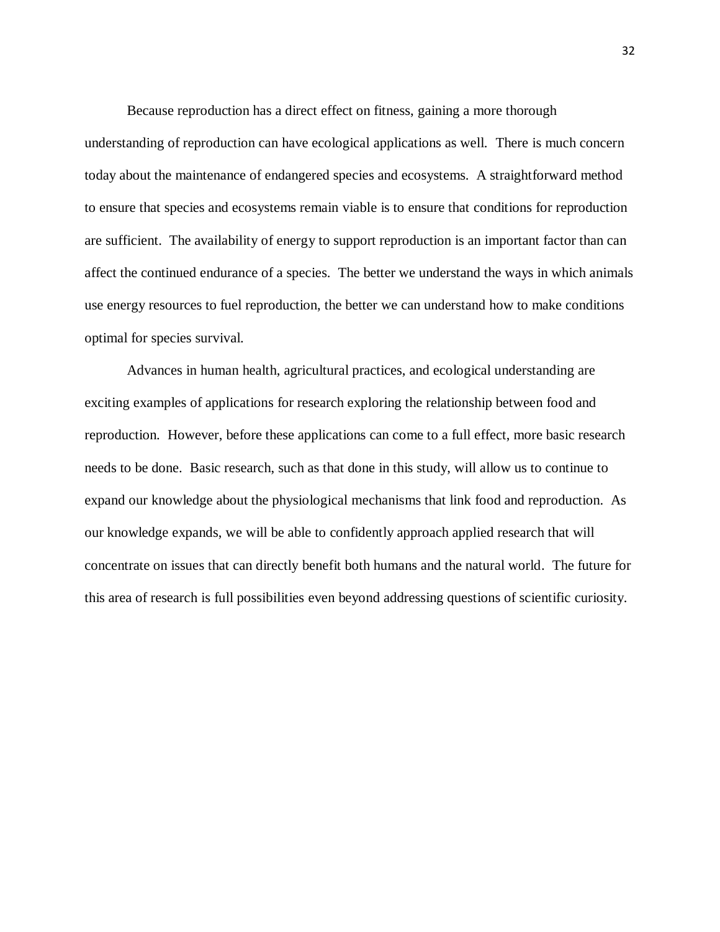Because reproduction has a direct effect on fitness, gaining a more thorough

understanding of reproduction can have ecological applications as well. There is much concern today about the maintenance of endangered species and ecosystems. A straightforward method to ensure that species and ecosystems remain viable is to ensure that conditions for reproduction are sufficient. The availability of energy to support reproduction is an important factor than can affect the continued endurance of a species. The better we understand the ways in which animals use energy resources to fuel reproduction, the better we can understand how to make conditions optimal for species survival.

Advances in human health, agricultural practices, and ecological understanding are exciting examples of applications for research exploring the relationship between food and reproduction. However, before these applications can come to a full effect, more basic research needs to be done. Basic research, such as that done in this study, will allow us to continue to expand our knowledge about the physiological mechanisms that link food and reproduction. As our knowledge expands, we will be able to confidently approach applied research that will concentrate on issues that can directly benefit both humans and the natural world. The future for this area of research is full possibilities even beyond addressing questions of scientific curiosity.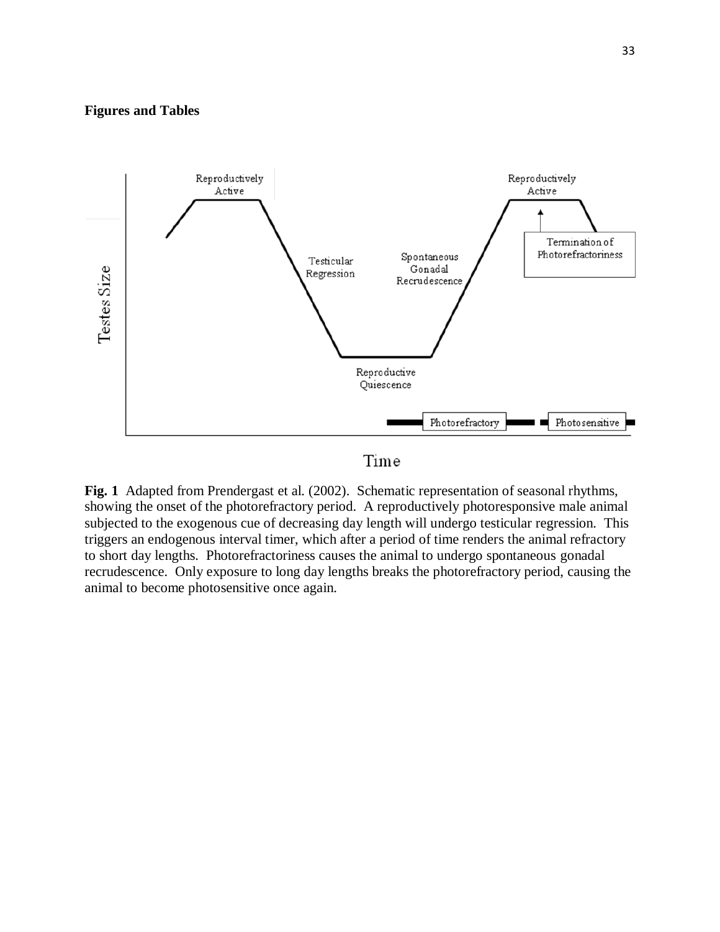### **Figures and Tables**



**Fig. 1** Adapted from Prendergast et al. (2002). Schematic representation of seasonal rhythms, showing the onset of the photorefractory period. A reproductively photoresponsive male animal subjected to the exogenous cue of decreasing day length will undergo testicular regression. This triggers an endogenous interval timer, which after a period of time renders the animal refractory to short day lengths. Photorefractoriness causes the animal to undergo spontaneous gonadal recrudescence. Only exposure to long day lengths breaks the photorefractory period, causing the animal to become photosensitive once again.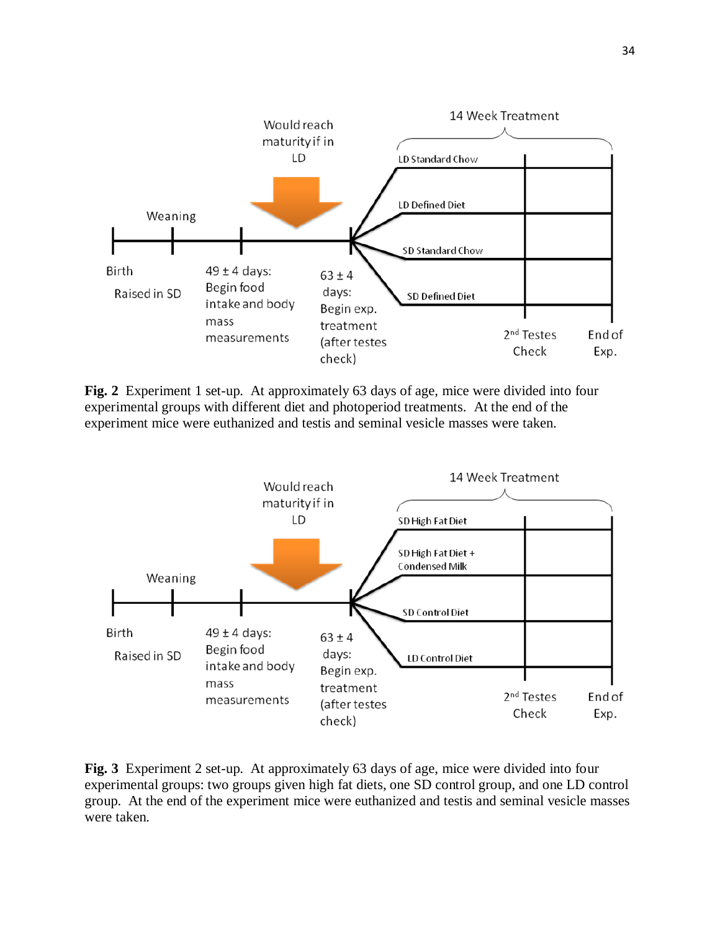

**Fig. 2** Experiment 1 set-up. At approximately 63 days of age, mice were divided into four experimental groups with different diet and photoperiod treatments. At the end of the experiment mice were euthanized and testis and seminal vesicle masses were taken.



**Fig. 3** Experiment 2 set-up. At approximately 63 days of age, mice were divided into four experimental groups: two groups given high fat diets, one SD control group, and one LD control group. At the end of the experiment mice were euthanized and testis and seminal vesicle masses were taken.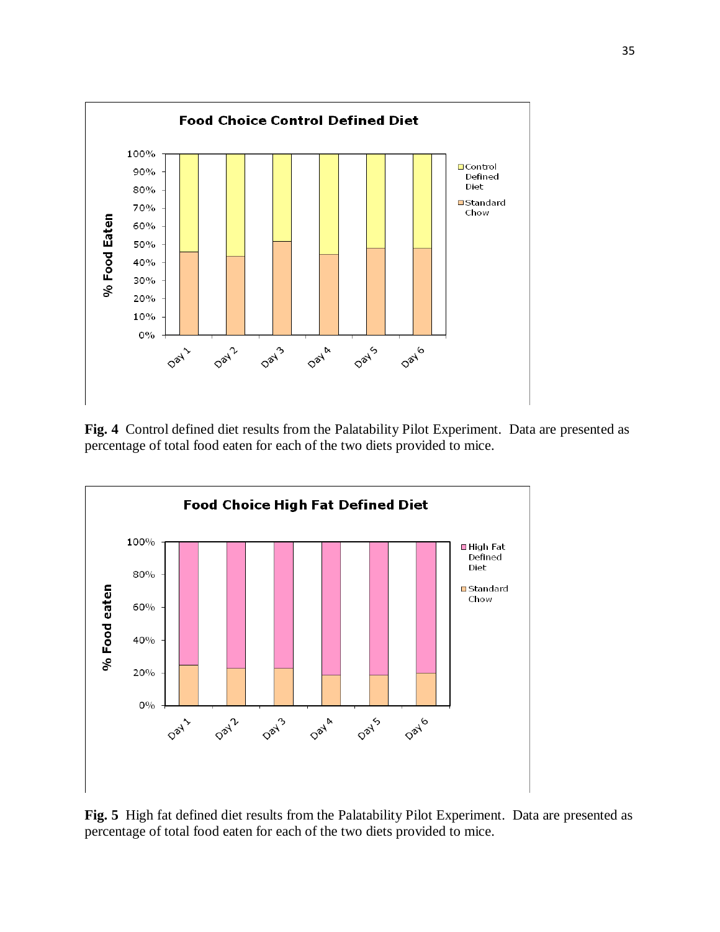

**Fig. 4** Control defined diet results from the Palatability Pilot Experiment. Data are presented as percentage of total food eaten for each of the two diets provided to mice.



**Fig. 5** High fat defined diet results from the Palatability Pilot Experiment. Data are presented as percentage of total food eaten for each of the two diets provided to mice.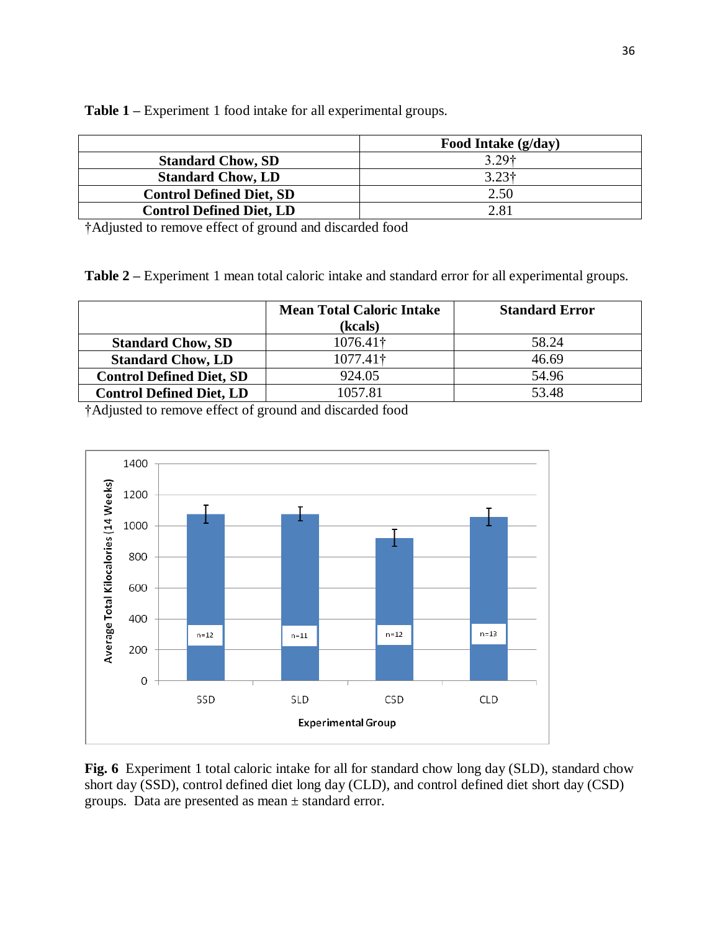|                                 | Food Intake (g/day) |
|---------------------------------|---------------------|
| <b>Standard Chow, SD</b>        | 3.29 <sup>†</sup>   |
| <b>Standard Chow, LD</b>        | 3.23 <sup>†</sup>   |
| <b>Control Defined Diet, SD</b> | 2.50                |
| <b>Control Defined Diet, LD</b> | 2.81                |

**Table 1 –** Experiment 1 food intake for all experimental groups.

†Adjusted to remove effect of ground and discarded food

**Table 2 –** Experiment 1 mean total caloric intake and standard error for all experimental groups.

|                                 | <b>Mean Total Caloric Intake</b><br>(kcals) | <b>Standard Error</b> |
|---------------------------------|---------------------------------------------|-----------------------|
| <b>Standard Chow, SD</b>        | 1076.41†                                    | 58.24                 |
| <b>Standard Chow, LD</b>        | $1077.41\dagger$                            | 46.69                 |
| <b>Control Defined Diet, SD</b> | 924.05                                      | 54.96                 |
| <b>Control Defined Diet, LD</b> | 1057.81                                     | 53.48                 |

†Adjusted to remove effect of ground and discarded food



**Fig. 6** Experiment 1 total caloric intake for all for standard chow long day (SLD), standard chow short day (SSD), control defined diet long day (CLD), and control defined diet short day (CSD) groups. Data are presented as mean ± standard error.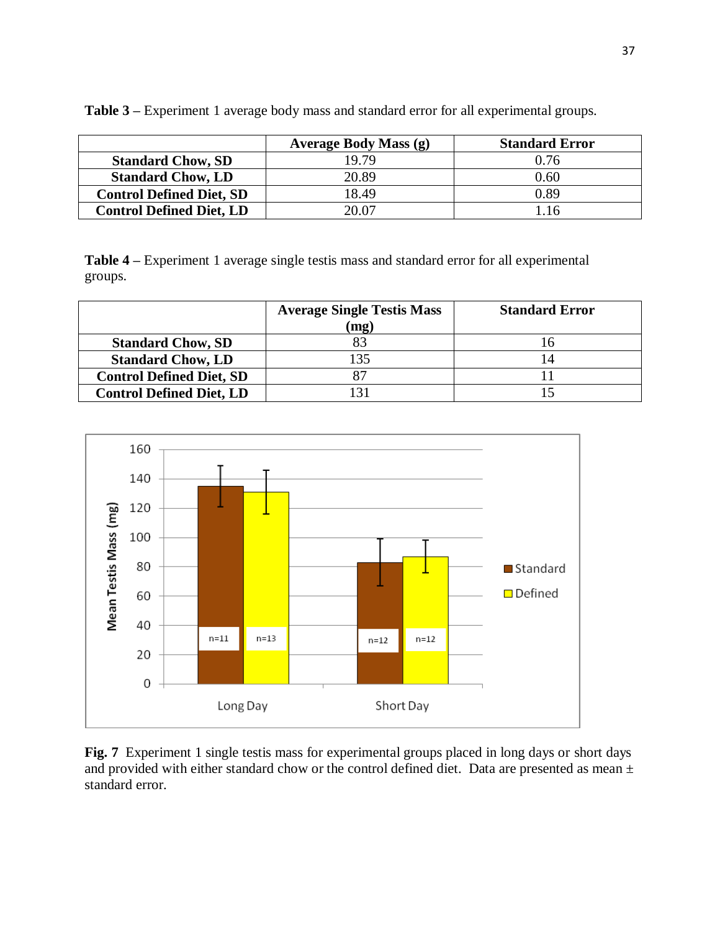|                                 | <b>Average Body Mass (g)</b> | <b>Standard Error</b> |
|---------------------------------|------------------------------|-----------------------|
| <b>Standard Chow, SD</b>        | 19.79                        | 0.76                  |
| <b>Standard Chow, LD</b>        | 20.89                        | 0.60                  |
| <b>Control Defined Diet, SD</b> | 18.49                        | 0.89                  |
| <b>Control Defined Diet, LD</b> | 20.07                        | l 16                  |

**Table 3 –** Experiment 1 average body mass and standard error for all experimental groups.

**Table 4 –** Experiment 1 average single testis mass and standard error for all experimental groups.

|                                 | <b>Average Single Testis Mass</b> | <b>Standard Error</b> |
|---------------------------------|-----------------------------------|-----------------------|
|                                 | (mg)                              |                       |
| <b>Standard Chow, SD</b>        |                                   |                       |
| <b>Standard Chow, LD</b>        | 135                               |                       |
| <b>Control Defined Diet, SD</b> |                                   |                       |
| <b>Control Defined Diet, LD</b> |                                   |                       |



**Fig. 7** Experiment 1 single testis mass for experimental groups placed in long days or short days and provided with either standard chow or the control defined diet. Data are presented as mean  $\pm$ standard error.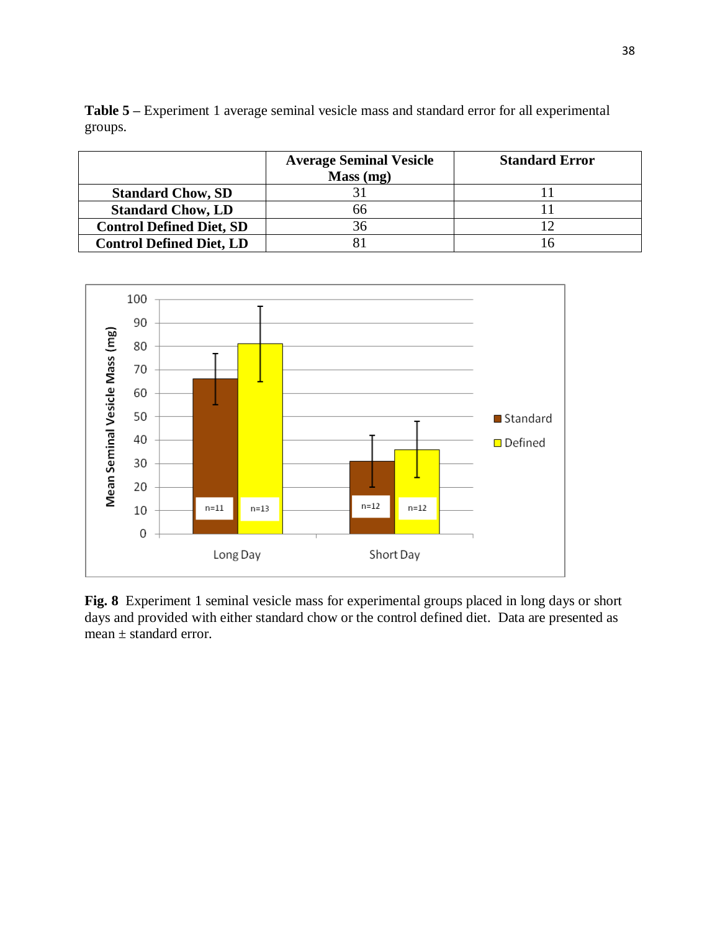**Table 5 –** Experiment 1 average seminal vesicle mass and standard error for all experimental groups.

|                                 | <b>Average Seminal Vesicle</b><br>Mass (mg) | <b>Standard Error</b> |
|---------------------------------|---------------------------------------------|-----------------------|
| <b>Standard Chow, SD</b>        |                                             |                       |
| <b>Standard Chow, LD</b>        | 66                                          |                       |
| <b>Control Defined Diet, SD</b> |                                             |                       |
| <b>Control Defined Diet, LD</b> |                                             |                       |



**Fig. 8** Experiment 1 seminal vesicle mass for experimental groups placed in long days or short days and provided with either standard chow or the control defined diet. Data are presented as mean ± standard error.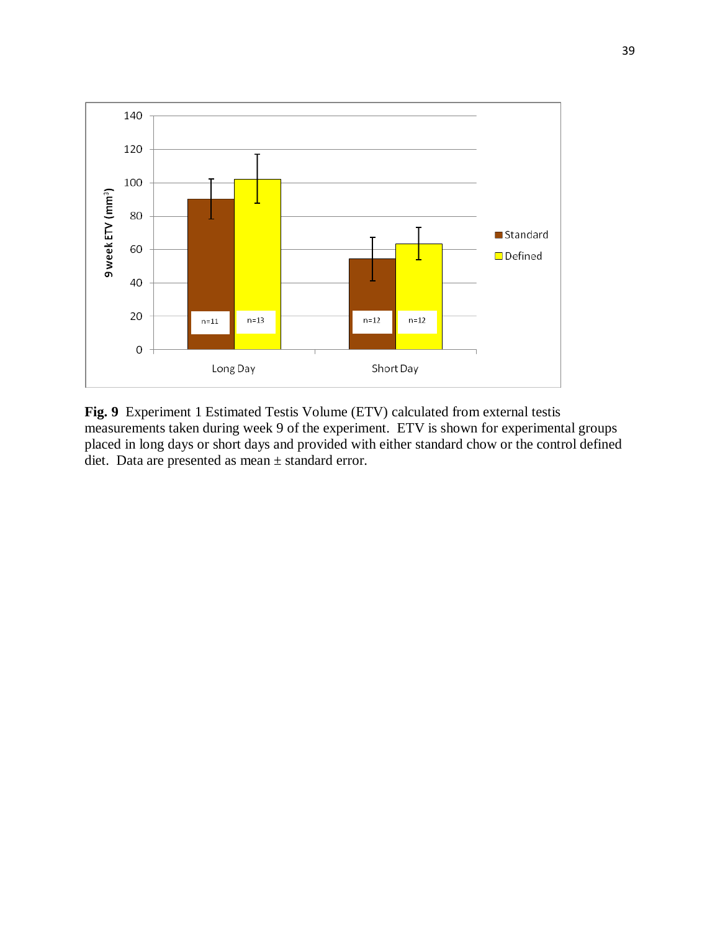

**Fig. 9** Experiment 1 Estimated Testis Volume (ETV) calculated from external testis measurements taken during week 9 of the experiment. ETV is shown for experimental groups placed in long days or short days and provided with either standard chow or the control defined diet. Data are presented as mean ± standard error.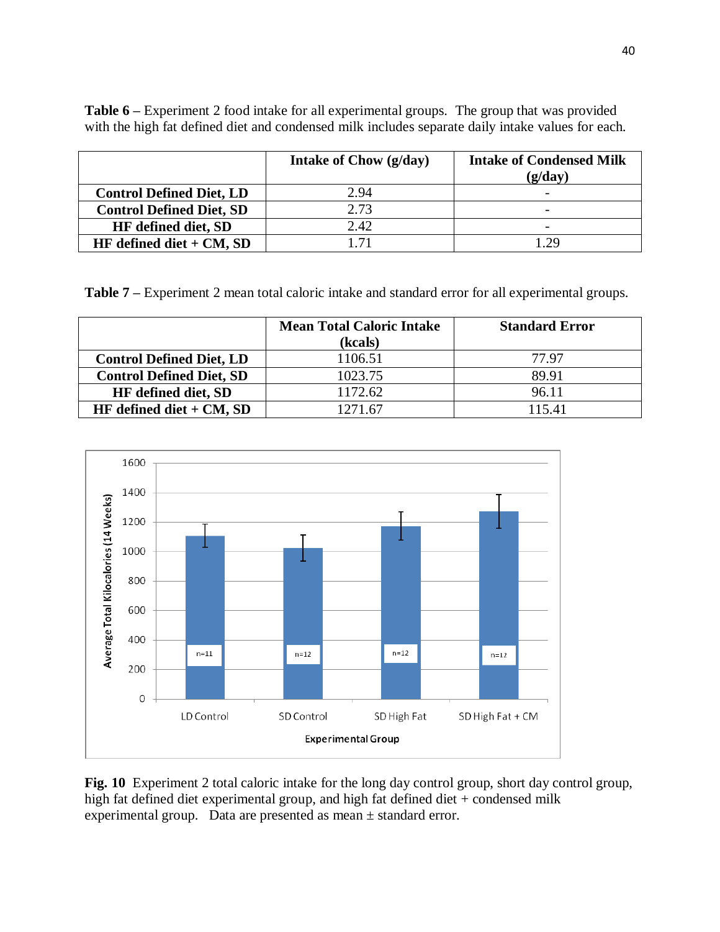| <b>Table 6</b> – Experiment 2 food intake for all experimental groups. The group that was provided |  |
|----------------------------------------------------------------------------------------------------|--|
| with the high fat defined diet and condensed milk includes separate daily intake values for each.  |  |

|                                 | Intake of Chow (g/day) | <b>Intake of Condensed Milk</b><br>(g/dav) |
|---------------------------------|------------------------|--------------------------------------------|
| <b>Control Defined Diet, LD</b> | 2.94                   | $\overline{\phantom{0}}$                   |
| <b>Control Defined Diet, SD</b> | 2.73                   | $\overline{\phantom{0}}$                   |
| <b>HF</b> defined diet, SD      | 2.42                   | $\overline{\phantom{0}}$                   |
| HF defined diet $+ CM$ , SD     | 171                    | $\gamma$ Q                                 |

**Table 7 –** Experiment 2 mean total caloric intake and standard error for all experimental groups.

|                                 | <b>Mean Total Caloric Intake</b> | <b>Standard Error</b> |
|---------------------------------|----------------------------------|-----------------------|
|                                 | (kcals)                          |                       |
| <b>Control Defined Diet, LD</b> | 1106.51                          | 77.97                 |
| <b>Control Defined Diet, SD</b> | 1023.75                          | 89.91                 |
| HF defined diet, SD             | 1172.62                          | 96.11                 |
| HF defined diet $+ CM$ , SD     | 1271.67                          | 115.41                |



**Fig. 10** Experiment 2 total caloric intake for the long day control group, short day control group, high fat defined diet experimental group, and high fat defined diet + condensed milk experimental group. Data are presented as mean ± standard error.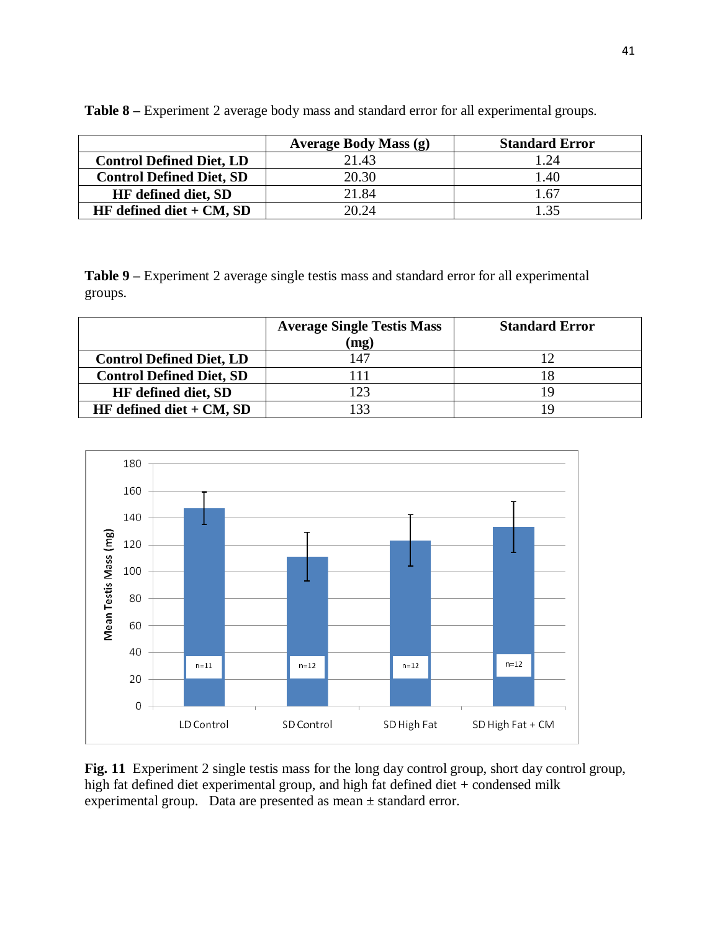|                                 | <b>Average Body Mass (g)</b> | <b>Standard Error</b> |
|---------------------------------|------------------------------|-----------------------|
| <b>Control Defined Diet, LD</b> | 21.43                        | 1.24                  |
| <b>Control Defined Diet, SD</b> | 20.30                        | 1.40                  |
| <b>HF</b> defined diet, SD      | 21.84                        | 1.67                  |
| HF defined diet $+ CM$ , SD     | 20.24                        | 135                   |

**Table 8 –** Experiment 2 average body mass and standard error for all experimental groups.

**Table 9 –** Experiment 2 average single testis mass and standard error for all experimental groups.

|                                 | <b>Average Single Testis Mass</b> | <b>Standard Error</b> |
|---------------------------------|-----------------------------------|-----------------------|
|                                 | (mg)                              |                       |
| <b>Control Defined Diet, LD</b> | 47                                |                       |
| <b>Control Defined Diet, SD</b> |                                   |                       |
| <b>HF</b> defined diet, SD      |                                   |                       |
| HF defined diet $+ CM$ , SD     |                                   | ιQ                    |



**Fig. 11** Experiment 2 single testis mass for the long day control group, short day control group, high fat defined diet experimental group, and high fat defined diet + condensed milk experimental group. Data are presented as mean ± standard error.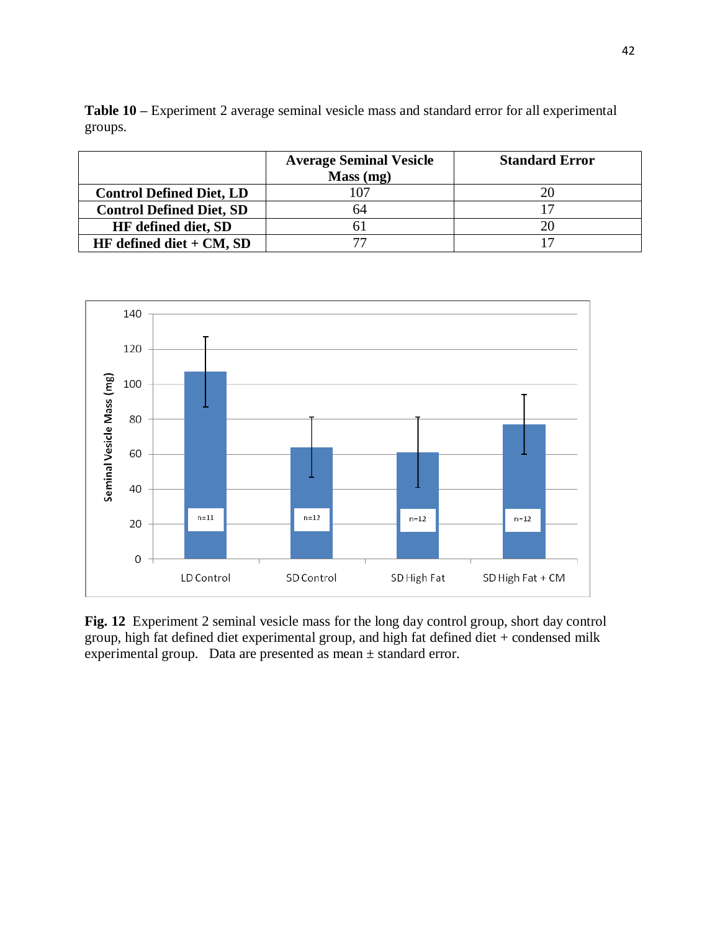**Table 10 –** Experiment 2 average seminal vesicle mass and standard error for all experimental groups.

|                                 | <b>Average Seminal Vesicle</b><br>Mass (mg) | <b>Standard Error</b> |
|---------------------------------|---------------------------------------------|-----------------------|
| <b>Control Defined Diet, LD</b> |                                             |                       |
| <b>Control Defined Diet, SD</b> | 64                                          |                       |
| <b>HF</b> defined diet, SD      |                                             |                       |
| HF defined diet $+$ CM, SD      |                                             |                       |



**Fig. 12** Experiment 2 seminal vesicle mass for the long day control group, short day control group, high fat defined diet experimental group, and high fat defined diet + condensed milk experimental group. Data are presented as mean ± standard error.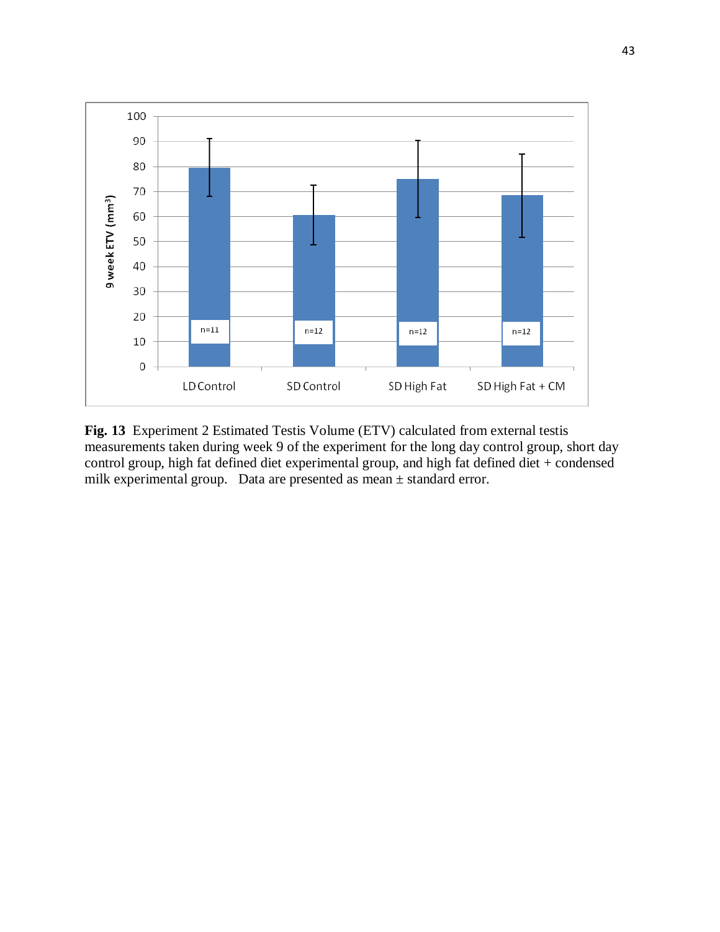

**Fig. 13** Experiment 2 Estimated Testis Volume (ETV) calculated from external testis measurements taken during week 9 of the experiment for the long day control group, short day control group, high fat defined diet experimental group, and high fat defined diet + condensed milk experimental group. Data are presented as mean ± standard error.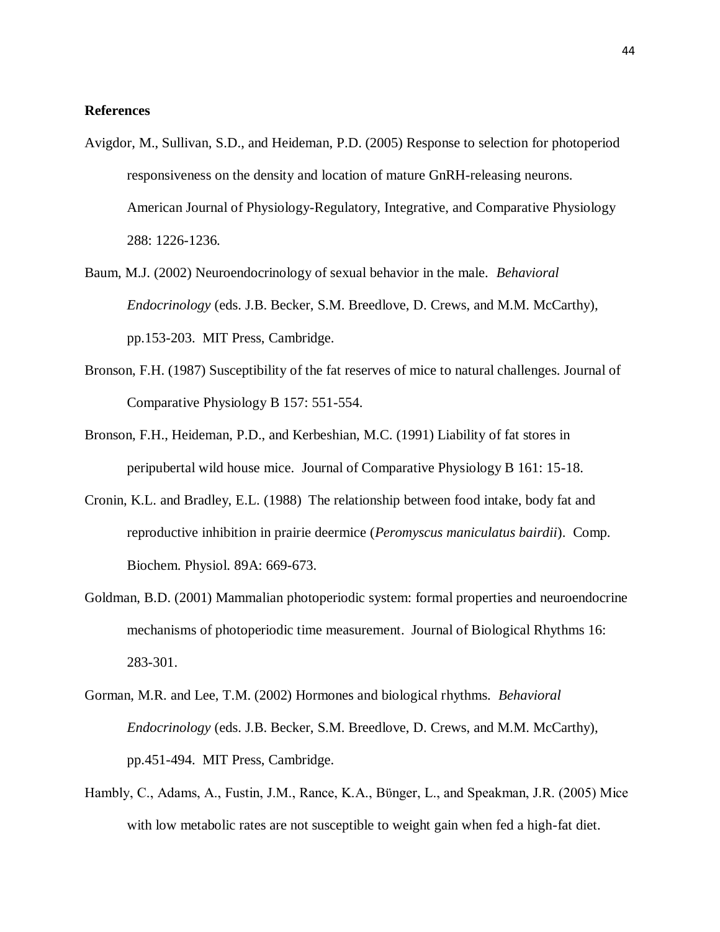### **References**

- Avigdor, M., Sullivan, S.D., and Heideman, P.D. (2005) Response to selection for photoperiod responsiveness on the density and location of mature GnRH-releasing neurons. American Journal of Physiology-Regulatory, Integrative, and Comparative Physiology 288: 1226-1236.
- Baum, M.J. (2002) Neuroendocrinology of sexual behavior in the male. *Behavioral Endocrinology* (eds. J.B. Becker, S.M. Breedlove, D. Crews, and M.M. McCarthy), pp.153-203. MIT Press, Cambridge.
- Bronson, F.H. (1987) Susceptibility of the fat reserves of mice to natural challenges. Journal of Comparative Physiology B 157: 551-554.
- Bronson, F.H., Heideman, P.D., and Kerbeshian, M.C. (1991) Liability of fat stores in peripubertal wild house mice. Journal of Comparative Physiology B 161: 15-18.
- Cronin, K.L. and Bradley, E.L. (1988) The relationship between food intake, body fat and reproductive inhibition in prairie deermice (*Peromyscus maniculatus bairdii*). Comp. Biochem. Physiol. 89A: 669-673.
- Goldman, B.D. (2001) Mammalian photoperiodic system: formal properties and neuroendocrine mechanisms of photoperiodic time measurement. Journal of Biological Rhythms 16: 283-301.
- Gorman, M.R. and Lee, T.M. (2002) Hormones and biological rhythms. *Behavioral Endocrinology* (eds. J.B. Becker, S.M. Breedlove, D. Crews, and M.M. McCarthy), pp.451-494. MIT Press, Cambridge.
- Hambly, C., Adams, A., Fustin, J.M., Rance, K.A., Bϋnger, L., and Speakman, J.R. (2005) Mice with low metabolic rates are not susceptible to weight gain when fed a high-fat diet.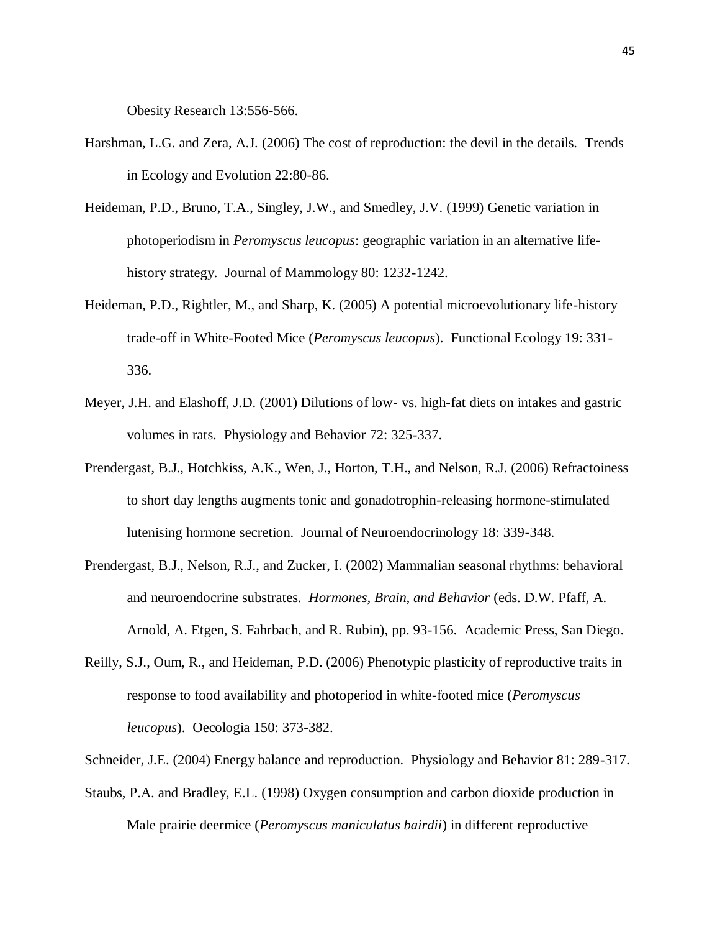Obesity Research 13:556-566.

- Harshman, L.G. and Zera, A.J. (2006) The cost of reproduction: the devil in the details. Trends in Ecology and Evolution 22:80-86.
- Heideman, P.D., Bruno, T.A., Singley, J.W., and Smedley, J.V. (1999) Genetic variation in photoperiodism in *Peromyscus leucopus*: geographic variation in an alternative lifehistory strategy. Journal of Mammology 80: 1232-1242.
- Heideman, P.D., Rightler, M., and Sharp, K. (2005) A potential microevolutionary life-history trade-off in White-Footed Mice (*Peromyscus leucopus*). Functional Ecology 19: 331- 336.
- Meyer, J.H. and Elashoff, J.D. (2001) Dilutions of low- vs. high-fat diets on intakes and gastric volumes in rats. Physiology and Behavior 72: 325-337.
- Prendergast, B.J., Hotchkiss, A.K., Wen, J., Horton, T.H., and Nelson, R.J. (2006) Refractoiness to short day lengths augments tonic and gonadotrophin-releasing hormone-stimulated lutenising hormone secretion. Journal of Neuroendocrinology 18: 339-348.
- Prendergast, B.J., Nelson, R.J., and Zucker, I. (2002) Mammalian seasonal rhythms: behavioral and neuroendocrine substrates. *Hormones, Brain, and Behavior* (eds. D.W. Pfaff, A. Arnold, A. Etgen, S. Fahrbach, and R. Rubin), pp. 93-156. Academic Press, San Diego.
- Reilly, S.J., Oum, R., and Heideman, P.D. (2006) Phenotypic plasticity of reproductive traits in response to food availability and photoperiod in white-footed mice (*Peromyscus leucopus*). Oecologia 150: 373-382.
- Schneider, J.E. (2004) Energy balance and reproduction. Physiology and Behavior 81: 289-317.
- Staubs, P.A. and Bradley, E.L. (1998) Oxygen consumption and carbon dioxide production in Male prairie deermice (*Peromyscus maniculatus bairdii*) in different reproductive